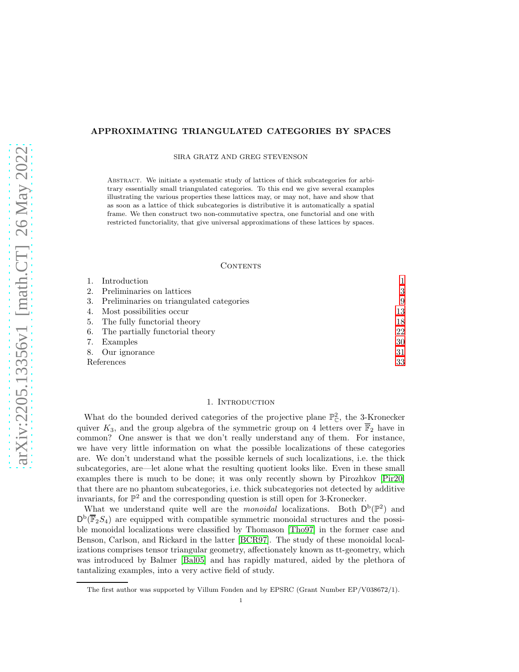# APPROXIMATING TRIANGULATED CATEGORIES BY SPACES

SIRA GRATZ AND GREG STEVENSON

Abstract. We initiate a systematic study of lattices of thick subcategories for arbitrary essentially small triangulated categories. To this end we give several examples illustrating the various properties these lattices may, or may not, have and show that as soon as a lattice of thick subcategories is distributive it is automatically a spatial frame. We then construct two non-commutative spectra, one functorial and one with restricted functoriality, that give universal approximations of these lattices by spaces.

# CONTENTS

|            | Introduction                                |    |
|------------|---------------------------------------------|----|
|            | 2. Preliminaries on lattices                | 3  |
|            | 3. Preliminaries on triangulated categories | 9  |
|            | 4. Most possibilities occur                 | 13 |
|            | 5. The fully functorial theory              | 18 |
|            | 6. The partially functorial theory          | 22 |
|            | 7. Examples                                 | 30 |
|            | 8. Our ignorance                            | 31 |
| References |                                             | 33 |

## 1. INTRODUCTION

<span id="page-0-0"></span>What do the bounded derived categories of the projective plane  $\mathbb{P}_{\mathbb{C}}^2$ , the 3-Kronecker quiver  $K_3$ , and the group algebra of the symmetric group on 4 letters over  $\overline{\mathbb{F}}_2$  have in common? One answer is that we don't really understand any of them. For instance, we have very little information on what the possible localizations of these categories are. We don't understand what the possible kernels of such localizations, i.e. the thick subcategories, are—let alone what the resulting quotient looks like. Even in these small examples there is much to be done; it was only recently shown by Pirozhkov [\[Pir20\]](#page-32-1) that there are no phantom subcategories, i.e. thick subcategories not detected by additive invariants, for  $\mathbb{P}^2$  and the corresponding question is still open for 3-Kronecker.

What we understand quite well are the *monoidal* localizations. Both  $D^b(\mathbb{P}^2)$  and  $D^{b}(\overline{\mathbb{F}}_{2}S_{4})$  are equipped with compatible symmetric monoidal structures and the possible monoidal localizations were classified by Thomason [\[Tho97\]](#page-32-2) in the former case and Benson, Carlson, and Rickard in the latter [\[BCR97\]](#page-32-3). The study of these monoidal localizations comprises tensor triangular geometry, affectionately known as tt-geometry, which was introduced by Balmer [\[Bal05\]](#page-32-4) and has rapidly matured, aided by the plethora of tantalizing examples, into a very active field of study.

The first author was supported by Villum Fonden and by EPSRC (Grant Number EP/V038672/1).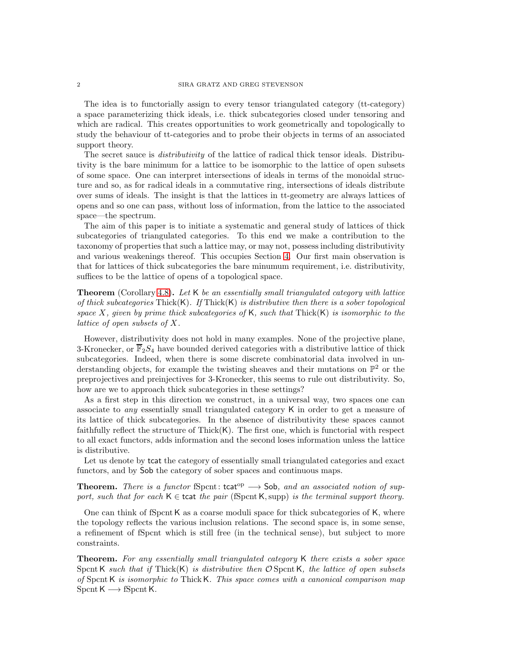The idea is to functorially assign to every tensor triangulated category (tt-category) a space parameterizing thick ideals, i.e. thick subcategories closed under tensoring and which are radical. This creates opportunities to work geometrically and topologically to study the behaviour of tt-categories and to probe their objects in terms of an associated support theory.

The secret sauce is *distributivity* of the lattice of radical thick tensor ideals. Distributivity is the bare minimum for a lattice to be isomorphic to the lattice of open subsets of some space. One can interpret intersections of ideals in terms of the monoidal structure and so, as for radical ideals in a commutative ring, intersections of ideals distribute over sums of ideals. The insight is that the lattices in tt-geometry are always lattices of opens and so one can pass, without loss of information, from the lattice to the associated space—the spectrum.

The aim of this paper is to initiate a systematic and general study of lattices of thick subcategories of triangulated categories. To this end we make a contribution to the taxonomy of properties that such a lattice may, or may not, possess including distributivity and various weakenings thereof. This occupies Section [4.](#page-12-0) Our first main observation is that for lattices of thick subcategories the bare minumum requirement, i.e. distributivity, suffices to be the lattice of opens of a topological space.

Theorem (Corollary [4.8\)](#page-14-0). *Let* K *be an essentially small triangulated category with lattice of thick subcategories* Thick(K)*. If* Thick(K) *is distributive then there is a sober topological space* X*, given by prime thick subcategories of* K*, such that* Thick(K) *is isomorphic to the lattice of open subsets of* X*.*

However, distributivity does not hold in many examples. None of the projective plane, 3-Kronecker, or  $\overline{\mathbb{F}}_2S_4$  have bounded derived categories with a distributive lattice of thick subcategories. Indeed, when there is some discrete combinatorial data involved in understanding objects, for example the twisting sheaves and their mutations on  $\mathbb{P}^2$  or the preprojectives and preinjectives for 3-Kronecker, this seems to rule out distributivity. So, how are we to approach thick subcategories in these settings?

As a first step in this direction we construct, in a universal way, two spaces one can associate to *any* essentially small triangulated category K in order to get a measure of its lattice of thick subcategories. In the absence of distributivity these spaces cannot faithfully reflect the structure of  $Thick(K)$ . The first one, which is functorial with respect to all exact functors, adds information and the second loses information unless the lattice is distributive.

Let us denote by tcat the category of essentially small triangulated categories and exact functors, and by Sob the category of sober spaces and continuous maps.

# **Theorem.** *There is a functor*  $fS$  pcnt: tcat<sup>op</sup>  $\longrightarrow$  Sob, and an associated notion of sup*port, such that for each*  $K \in \text{tcat }$  *the pair* (fSpcnt K, supp) *is the terminal support theory.*

One can think of fSpcnt K as a coarse moduli space for thick subcategories of K, where the topology reflects the various inclusion relations. The second space is, in some sense, a refinement of fSpcnt which is still free (in the technical sense), but subject to more constraints.

Theorem. *For any essentially small triangulated category* K *there exists a sober space* SpcntK *such that if* Thick(K) *is distributive then* O SpcntK*, the lattice of open subsets of* Spcnt K *is isomorphic to* ThickK*. This space comes with a canonical comparison map*  $S$ pcnt K  $\longrightarrow$  fSpcnt K.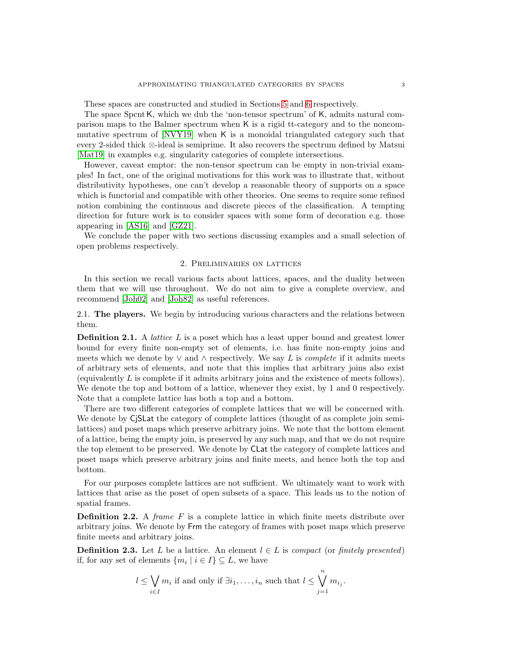These spaces are constructed and studied in Sections [5](#page-17-0) and [6](#page-21-0) respectively.

The space SpcntK, which we dub the 'non-tensor spectrum' of K, admits natural comparison maps to the Balmer spectrum when K is a rigid tt-category and to the noncommutative spectrum of [\[NVY19\]](#page-32-5) when K is a monoidal triangulated category such that every 2-sided thick ⊗-ideal is semiprime. It also recovers the spectrum defined by Matsui [\[Mat19\]](#page-32-6) in examples e.g. singularity categories of complete intersections.

However, caveat emptor: the non-tensor spectrum can be empty in non-trivial examples! In fact, one of the original motivations for this work was to illustrate that, without distributivity hypotheses, one can't develop a reasonable theory of supports on a space which is functorial and compatible with other theories. One seems to require some refined notion combining the continuous and discrete pieces of the classification. A tempting direction for future work is to consider spaces with some form of decoration e.g. those appearing in [\[AS16\]](#page-32-7) and [\[GZ21\]](#page-32-8).

<span id="page-2-0"></span>We conclude the paper with two sections discussing examples and a small selection of open problems respectively.

# 2. Preliminaries on lattices

In this section we recall various facts about lattices, spaces, and the duality between them that we will use throughout. We do not aim to give a complete overview, and recommend [\[Joh02\]](#page-32-9) and [\[Joh82\]](#page-32-10) as useful references.

2.1. The players. We begin by introducing various characters and the relations between them.

**Definition 2.1.** A *lattice* L is a poset which has a least upper bound and greatest lower bound for every finite non-empty set of elements, i.e. has finite non-empty joins and meets which we denote by  $\vee$  and  $\wedge$  respectively. We say L is *complete* if it admits meets of arbitrary sets of elements, and note that this implies that arbitrary joins also exist (equivalently L is complete if it admits arbitrary joins and the existence of meets follows). We denote the top and bottom of a lattice, whenever they exist, by 1 and 0 respectively. Note that a complete lattice has both a top and a bottom.

There are two different categories of complete lattices that we will be concerned with. We denote by C<sub>j</sub>SLat the category of complete lattices (thought of as complete join semilattices) and poset maps which preserve arbitrary joins. We note that the bottom element of a lattice, being the empty join, is preserved by any such map, and that we do not require the top element to be preserved. We denote by CLat the category of complete lattices and poset maps which preserve arbitrary joins and finite meets, and hence both the top and bottom.

For our purposes complete lattices are not sufficient. We ultimately want to work with lattices that arise as the poset of open subsets of a space. This leads us to the notion of spatial frames.

**Definition 2.2.** A *frame* F is a complete lattice in which finite meets distribute over arbitrary joins. We denote by Frm the category of frames with poset maps which preserve finite meets and arbitrary joins.

**Definition 2.3.** Let L be a lattice. An element  $l \in L$  is *compact* (or *finitely presented*) if, for any set of elements  $\{m_i \mid i \in I\} \subseteq L$ , we have

$$
l \leq \bigvee_{i \in I} m_i
$$
 if and only if  $\exists i_1, ..., i_n$  such that  $l \leq \bigvee_{j=1}^n m_{i_j}$ .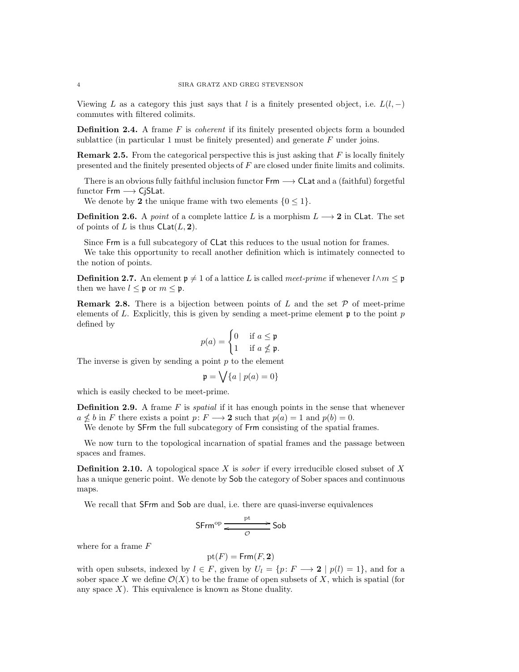Viewing L as a category this just says that l is a finitely presented object, i.e.  $L(l, -)$ commutes with filtered colimits.

<span id="page-3-0"></span>Definition 2.4. A frame F is *coherent* if its finitely presented objects form a bounded sublattice (in particular 1 must be finitely presented) and generate  $F$  under joins.

**Remark 2.5.** From the categorical perspective this is just asking that  $F$  is locally finitely presented and the finitely presented objects of F are closed under finite limits and colimits.

There is an obvious fully faithful inclusion functor  $\mathsf{Frm} \longrightarrow \mathsf{Clat}$  and a (faithful) forgetful functor  $Frm \rightarrow CjSLat$ .

We denote by 2 the unique frame with two elements  $\{0 \leq 1\}$ .

**Definition 2.6.** A *point* of a complete lattice L is a morphism  $L \rightarrow 2$  in CLat. The set of points of L is thus  $\mathsf{Clat}(L, 2)$ .

Since Frm is a full subcategory of CLat this reduces to the usual notion for frames.

We take this opportunity to recall another definition which is intimately connected to the notion of points.

<span id="page-3-1"></span>**Definition 2.7.** An element  $\mathfrak{p} \neq 1$  of a lattice L is called *meet-prime* if whenever  $l \wedge m \leq \mathfrak{p}$ then we have  $l \leq \mathfrak{p}$  or  $m \leq \mathfrak{p}$ .

**Remark 2.8.** There is a bijection between points of L and the set  $P$  of meet-prime elements of L. Explicitly, this is given by sending a meet-prime element  $\mathfrak p$  to the point p defined by

$$
p(a) = \begin{cases} 0 & \text{if } a \leq \mathfrak{p} \\ 1 & \text{if } a \nleq \mathfrak{p}. \end{cases}
$$

The inverse is given by sending a point  $p$  to the element

$$
\mathfrak{p} = \bigvee \{a \mid p(a) = 0\}
$$

which is easily checked to be meet-prime.

**Definition 2.9.** A frame F is *spatial* if it has enough points in the sense that whenever  $a \nleq b$  in F there exists a point  $p: F \longrightarrow 2$  such that  $p(a) = 1$  and  $p(b) = 0$ .

We denote by **SFrm** the full subcategory of Frm consisting of the spatial frames.

We now turn to the topological incarnation of spatial frames and the passage between spaces and frames.

Definition 2.10. A topological space X is *sober* if every irreducible closed subset of X has a unique generic point. We denote by Sob the category of Sober spaces and continuous maps.

We recall that SFrm and Sob are dual, i.e. there are quasi-inverse equivalences

$$
\mathsf{S}\mathsf{Frm}^{\mathrm{op}} \xrightarrow{\phantom{op}\mathsf{pt}}^{\mathsf{pt}} \mathsf{Sob}
$$

where for a frame  $F$ 

$$
\operatorname{pt}(F)=\operatorname{\mathsf{Frm}}(F,{\mathbf 2})
$$

with open subsets, indexed by  $l \in F$ , given by  $U_l = \{p: F \longrightarrow 2 \mid p(l) = 1\}$ , and for a sober space X we define  $\mathcal{O}(X)$  to be the frame of open subsets of X, which is spatial (for any space  $X$ ). This equivalence is known as Stone duality.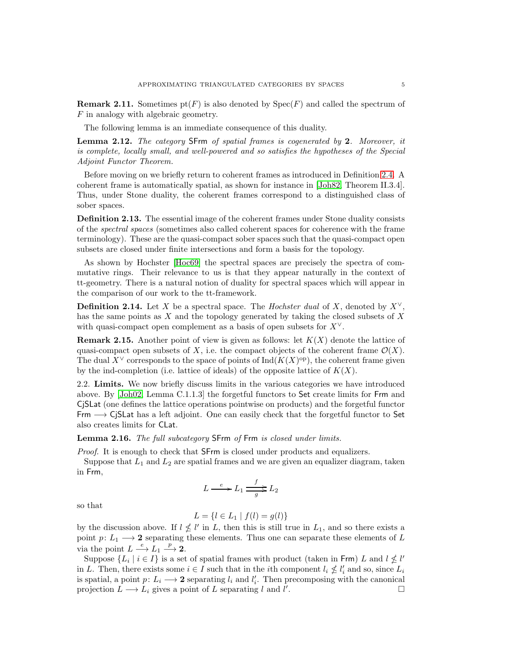**Remark 2.11.** Sometimes  $pt(F)$  is also denoted by  $Spec(F)$  and called the spectrum of F in analogy with algebraic geometry.

The following lemma is an immediate consequence of this duality.

<span id="page-4-1"></span>Lemma 2.12. *The category* SFrm *of spatial frames is cogenerated by* 2*. Moreover, it is complete, locally small, and well-powered and so satisfies the hypotheses of the Special Adjoint Functor Theorem.*

Before moving on we briefly return to coherent frames as introduced in Definition [2.4.](#page-3-0) A coherent frame is automatically spatial, as shown for instance in [\[Joh82,](#page-32-10) Theorem II.3.4]. Thus, under Stone duality, the coherent frames correspond to a distinguished class of sober spaces.

Definition 2.13. The essential image of the coherent frames under Stone duality consists of the *spectral spaces* (sometimes also called coherent spaces for coherence with the frame terminology). These are the quasi-compact sober spaces such that the quasi-compact open subsets are closed under finite intersections and form a basis for the topology.

As shown by Hochster [\[Hoc69\]](#page-32-11) the spectral spaces are precisely the spectra of commutative rings. Their relevance to us is that they appear naturally in the context of tt-geometry. There is a natural notion of duality for spectral spaces which will appear in the comparison of our work to the tt-framework.

<span id="page-4-2"></span>**Definition 2.14.** Let X be a spectral space. The *Hochster dual* of X, denoted by  $X^{\vee}$ , has the same points as  $X$  and the topology generated by taking the closed subsets of  $X$ with quasi-compact open complement as a basis of open subsets for  $X^{\vee}$ .

**Remark 2.15.** Another point of view is given as follows: let  $K(X)$  denote the lattice of quasi-compact open subsets of X, i.e. the compact objects of the coherent frame  $\mathcal{O}(X)$ . The dual  $X^{\vee}$  corresponds to the space of points of Ind( $K(X)^{\text{op}}$ ), the coherent frame given by the ind-completion (i.e. lattice of ideals) of the opposite lattice of  $K(X)$ .

2.2. Limits. We now briefly discuss limits in the various categories we have introduced above. By [\[Joh02,](#page-32-9) Lemma C.1.1.3] the forgetful functors to Set create limits for Frm and CjSLat (one defines the lattice operations pointwise on products) and the forgetful functor Frm −→ CjSLat has a left adjoint. One can easily check that the forgetful functor to Set also creates limits for CLat.

<span id="page-4-0"></span>Lemma 2.16. *The full subcategory* SFrm *of* Frm *is closed under limits.*

*Proof.* It is enough to check that **SFrm** is closed under products and equalizers.

Suppose that  $L_1$  and  $L_2$  are spatial frames and we are given an equalizer diagram, taken in Frm,

$$
L \xrightarrow{e} L_1 \xrightarrow{f} L_2
$$

so that

$$
L = \{l \in L_1 \mid f(l) = g(l)\}
$$

by the discussion above. If  $l \nleq l'$  in L, then this is still true in  $L_1$ , and so there exists a point p:  $L_1 \longrightarrow 2$  separating these elements. Thus one can separate these elements of L via the point  $L \xrightarrow{e} L_1 \xrightarrow{p} \mathbb{Z}$ .

Suppose  $\{L_i \mid i \in I\}$  is a set of spatial frames with product (taken in Frm) L and  $l \nleq l'$ in L. Then, there exists some  $i \in I$  such that in the *i*<sup>th</sup> component  $l_i \nleq l'_i$  and so, since  $L_i$ is spatial, a point  $p: L_i \longrightarrow 2$  separating  $l_i$  and  $l'_i$ . Then precomposing with the canonical projection  $L \longrightarrow L_i$  gives a point of L separating l and l' .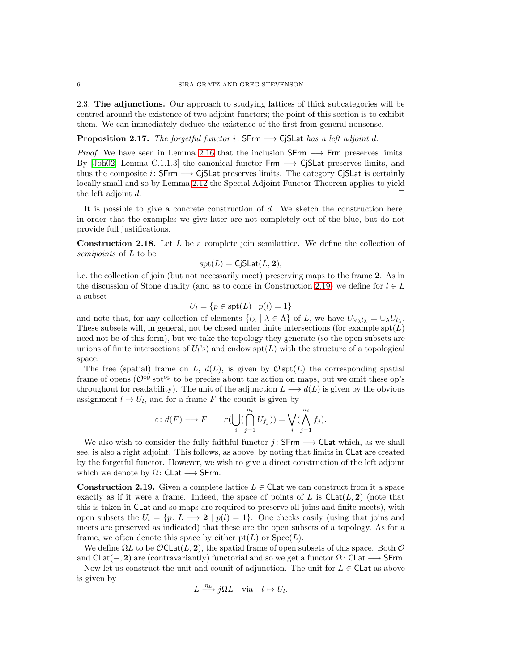2.3. The adjunctions. Our approach to studying lattices of thick subcategories will be centred around the existence of two adjoint functors; the point of this section is to exhibit them. We can immediately deduce the existence of the first from general nonsense.

<span id="page-5-1"></span>Proposition 2.17. *The forgetful functor* i: SFrm −→ CjSLat *has a left adjoint* d*.*

*Proof.* We have seen in Lemma [2.16](#page-4-0) that the inclusion  $S$ Frm  $\rightarrow$  Frm preserves limits. By [\[Joh02,](#page-32-9) Lemma C.1.1.3] the canonical functor  $Frm \rightarrow CjSLat$  preserves limits, and thus the composite i:  $S$ Frm  $\longrightarrow$  CjSLat preserves limits. The category CjSLat is certainly locally small and so by Lemma [2.12](#page-4-1) the Special Adjoint Functor Theorem applies to yield the left adjoint d.

It is possible to give a concrete construction of  $d$ . We sketch the construction here, in order that the examples we give later are not completely out of the blue, but do not provide full justifications.

<span id="page-5-2"></span>Construction 2.18. Let L be a complete join semilattice. We define the collection of *semipoints* of L to be

$$
\operatorname{spt}(L)=\operatorname{CjSLat}(L,{\bf 2}),
$$

i.e. the collection of join (but not necessarily meet) preserving maps to the frame 2. As in the discussion of Stone duality (and as to come in Construction [2.19\)](#page-5-0) we define for  $l \in L$ a subset

$$
U_l = \{ p \in \operatorname{spt}(L) \mid p(l) = 1 \}
$$

and note that, for any collection of elements  $\{l_{\lambda} \mid \lambda \in \Lambda\}$  of L, we have  $U_{\vee_{\lambda} l_{\lambda}} = \cup_{\lambda} U_{l_{\lambda}}$ . These subsets will, in general, not be closed under finite intersections (for example  $\text{spt}(L)$ ) need not be of this form), but we take the topology they generate (so the open subsets are unions of finite intersections of  $U_l$ 's) and endow  $\text{spt}(L)$  with the structure of a topological space.

The free (spatial) frame on L,  $d(L)$ , is given by  $\mathcal{O}$  spt(L) the corresponding spatial frame of opens ( $\mathcal{O}^{\text{op}}$  spt<sup>op</sup> to be precise about the action on maps, but we omit these op's throughout for readability). The unit of the adjunction  $L \longrightarrow d(L)$  is given by the obvious assignment  $l \mapsto U_l$ , and for a frame F the counit is given by

$$
\varepsilon\colon d(F)\longrightarrow F\qquad \varepsilon(\bigcup_{i}(\bigcap_{j=1}^{n_i}U_{f_j}))=\bigvee_{i}(\bigwedge_{j=1}^{n_i}f_j).
$$

We also wish to consider the fully faithful functor j:  $S$ Frm  $\rightarrow$  CLat which, as we shall see, is also a right adjoint. This follows, as above, by noting that limits in CLat are created by the forgetful functor. However, we wish to give a direct construction of the left adjoint which we denote by  $\Omega$ : CLat  $\longrightarrow$  SFrm.

<span id="page-5-0"></span>**Construction 2.19.** Given a complete lattice  $L \in \mathsf{Clat}$  we can construct from it a space exactly as if it were a frame. Indeed, the space of points of L is  $\text{Clat}(L, 2)$  (note that this is taken in CLat and so maps are required to preserve all joins and finite meets), with open subsets the  $U_l = \{p: L \longrightarrow 2 \mid p(l) = 1\}$ . One checks easily (using that joins and meets are preserved as indicated) that these are the open subsets of a topology. As for a frame, we often denote this space by either  $pt(L)$  or  $Spec(L)$ .

We define  $\Omega L$  to be  $\mathcal{O}$ CLat $(L, 2)$ , the spatial frame of open subsets of this space. Both  $\mathcal O$ and CLat(−, 2) are (contravariantly) functorial and so we get a functor  $\Omega$ : CLat  $\longrightarrow$  SFrm.

Now let us construct the unit and counit of adjunction. The unit for  $L \in \mathsf{Cl}$  at as above is given by

$$
L \xrightarrow{\eta_L} j\Omega L \quad \text{via} \quad l \mapsto U_l.
$$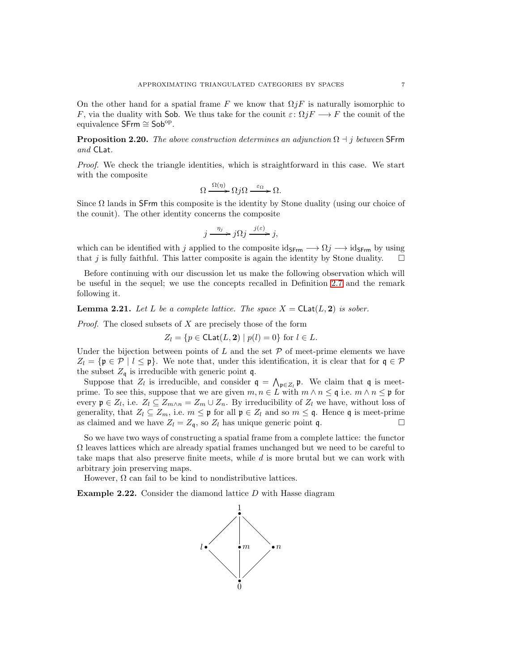On the other hand for a spatial frame F we know that  $\Omega jF$  is naturally isomorphic to F, via the duality with Sob. We thus take for the counit  $\varepsilon: \Omega jF \longrightarrow F$  the counit of the equivalence SFrm ≅ Sob<sup>op</sup>.

<span id="page-6-1"></span>**Proposition 2.20.** *The above construction determines an adjunction*  $\Omega + j$  *between* SFrm *and* CLat*.*

*Proof.* We check the triangle identities, which is straightforward in this case. We start with the composite

$$
\Omega \xrightarrow{\Omega(\eta)} \Omega j\Omega \xrightarrow{\varepsilon_{\Omega}} \Omega.
$$

Since  $\Omega$  lands in SFrm this composite is the identity by Stone duality (using our choice of the counit). The other identity concerns the composite

$$
j \xrightarrow{\eta_j} j\Omega j \xrightarrow{j(\varepsilon)} j,
$$

which can be identified with j applied to the composite ids<sub>Frm</sub>  $\rightarrow$   $\Omega j \rightarrow$  id<sub>SFrm</sub> by using that j is fully faithful. This latter composite is again the identity by Stone duality.  $\square$ that  $j$  is fully faithful. This latter composite is again the identity by Stone duality.

Before continuing with our discussion let us make the following observation which will be useful in the sequel; we use the concepts recalled in Definition [2.7](#page-3-1) and the remark following it.

<span id="page-6-2"></span>**Lemma 2.21.** Let L be a complete lattice. The space  $X = \text{Clat}(L, 2)$  is sober.

*Proof.* The closed subsets of X are precisely those of the form

$$
Z_l = \{ p \in \mathsf{Clat}(L, \mathbf{2}) \mid p(l) = 0 \} \text{ for } l \in L.
$$

Under the bijection between points of  $L$  and the set  $P$  of meet-prime elements we have  $Z_l = \{ \mathfrak{p} \in \mathcal{P} \mid l \leq \mathfrak{p} \}.$  We note that, under this identification, it is clear that for  $\mathfrak{q} \in \mathcal{P}$ the subset  $Z_{\mathfrak{q}}$  is irreducible with generic point  $\mathfrak{q}$ .

Suppose that  $Z_l$  is irreducible, and consider  $\mathfrak{q} = \bigwedge_{\mathfrak{p} \in Z_l} \mathfrak{p}$ . We claim that  $\mathfrak{q}$  is meetprime. To see this, suppose that we are given  $m, n \in L$  with  $m \wedge n \leq \mathfrak{q}$  i.e.  $m \wedge n \leq \mathfrak{p}$  for every  $\mathfrak{p} \in Z_l$ , i.e.  $Z_l \subseteq Z_{m \wedge n} = Z_m \cup Z_n$ . By irreducibility of  $Z_l$  we have, without loss of generality, that  $Z_l \subseteq Z_m$ , i.e.  $m \le \mathfrak{p}$  for all  $\mathfrak{p} \in Z_l$  and so  $m \le \mathfrak{q}$ . Hence  $\mathfrak{q}$  is meet-prime as claimed and we have  $Z_l = Z_s$  so  $Z_l$  has unique generic point  $\mathfrak{q}$ as claimed and we have  $Z_l = Z_{\mathfrak{q}}$ , so  $Z_l$  has unique generic point q.

So we have two ways of constructing a spatial frame from a complete lattice: the functor  $\Omega$  leaves lattices which are already spatial frames unchanged but we need to be careful to take maps that also preserve finite meets, while  $d$  is more brutal but we can work with arbitrary join preserving maps.

However,  $\Omega$  can fail to be kind to nondistributive lattices.

<span id="page-6-0"></span>**Example 2.22.** Consider the diamond lattice  $D$  with Hasse diagram

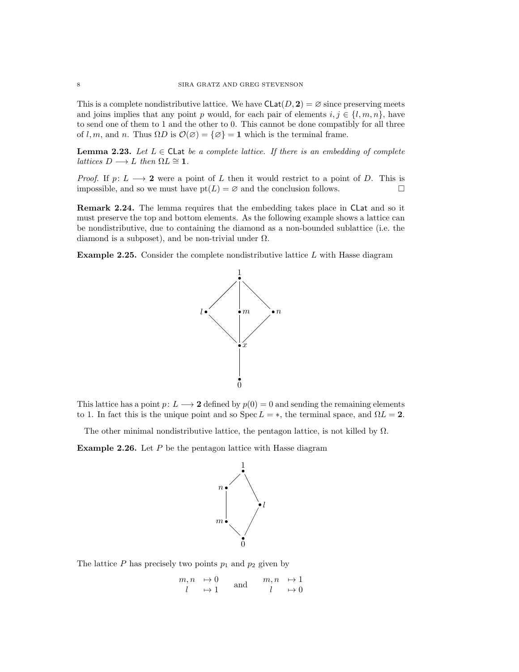This is a complete nondistributive lattice. We have  $\text{Clat}(D, 2) = \emptyset$  since preserving meets and joins implies that any point p would, for each pair of elements  $i, j \in \{l, m, n\}$ , have to send one of them to 1 and the other to 0. This cannot be done compatibly for all three of l, m, and n. Thus  $\Omega D$  is  $\mathcal{O}(\varnothing) = {\varnothing} = 1$  which is the terminal frame.

<span id="page-7-0"></span>**Lemma 2.23.** Let  $L \in \mathsf{Cl}$  at *be a complete lattice. If there is an embedding of complete lattices*  $D \longrightarrow L$  *then*  $\Omega L \cong \mathbf{1}$ *.* 

*Proof.* If  $p: L \longrightarrow 2$  were a point of L then it would restrict to a point of D. This is impossible, and so we must have  $pt(L) = \emptyset$  and the conclusion follows. impossible, and so we must have  $pt(L) = \emptyset$  and the conclusion follows.

Remark 2.24. The lemma requires that the embedding takes place in CLat and so it must preserve the top and bottom elements. As the following example shows a lattice can be nondistributive, due to containing the diamond as a non-bounded sublattice (i.e. the diamond is a subposet), and be non-trivial under  $\Omega$ .

Example 2.25. Consider the complete nondistributive lattice L with Hasse diagram



This lattice has a point  $p: L \longrightarrow 2$  defined by  $p(0) = 0$  and sending the remaining elements to 1. In fact this is the unique point and so Spec  $L = *$ , the terminal space, and  $\Omega L = 2$ .

The other minimal nondistributive lattice, the pentagon lattice, is not killed by  $\Omega$ .

**Example 2.26.** Let  $P$  be the pentagon lattice with Hasse diagram



The lattice  $P$  has precisely two points  $p_1$  and  $p_2$  given by

 $m, n \rightarrow 0$  $l \rightarrow 1$ and  $m, n \mapsto 1$  $l \rightarrow 0$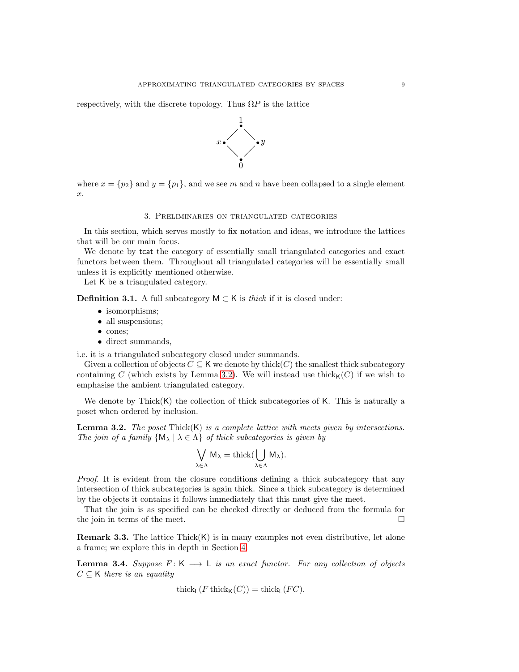respectively, with the discrete topology. Thus  $\Omega P$  is the lattice



<span id="page-8-0"></span>where  $x = \{p_2\}$  and  $y = \{p_1\}$ , and we see m and n have been collapsed to a single element x.

# 3. Preliminaries on triangulated categories

In this section, which serves mostly to fix notation and ideas, we introduce the lattices that will be our main focus.

We denote by tcat the category of essentially small triangulated categories and exact functors between them. Throughout all triangulated categories will be essentially small unless it is explicitly mentioned otherwise.

Let K be a triangulated category.

**Definition 3.1.** A full subcategory  $M ⊂ K$  is *thick* if it is closed under:

- isomorphisms:
- all suspensions;
- cones;
- direct summands,

i.e. it is a triangulated subcategory closed under summands.

Given a collection of objects  $C \subseteq K$  we denote by thick(C) the smallest thick subcategory containing C (which exists by Lemma [3.2\)](#page-8-1). We will instead use thick<sub>K</sub> $(C)$  if we wish to emphasise the ambient triangulated category.

We denote by Thick $(K)$  the collection of thick subcategories of K. This is naturally a poset when ordered by inclusion.

<span id="page-8-1"></span>Lemma 3.2. *The poset* Thick(K) *is a complete lattice with meets given by intersections. The join of a family*  $\{M_{\lambda} | \lambda \in \Lambda\}$  *of thick subcategories is given by* 

$$
\bigvee_{\lambda \in \Lambda} M_{\lambda} = \mathrm{thick}(\bigcup_{\lambda \in \Lambda} M_{\lambda}).
$$

*Proof.* It is evident from the closure conditions defining a thick subcategory that any intersection of thick subcategories is again thick. Since a thick subcategory is determined by the objects it contains it follows immediately that this must give the meet.

That the join is as specified can be checked directly or deduced from the formula for the join in terms of the meet.  $\Box$ 

**Remark 3.3.** The lattice  $\text{Thick}(K)$  is in many examples not even distributive, let alone a frame; we explore this in depth in Section [4.](#page-12-0)

<span id="page-8-2"></span>**Lemma 3.4.** *Suppose*  $F: K \longrightarrow L$  *is an exact functor. For any collection of objects*  $C \subseteq K$  *there is an equality* 

$$
\operatorname{thick}_{\mathsf{L}}(F\operatorname{thick}_{\mathsf{K}}(C)) = \operatorname{thick}_{\mathsf{L}}(FC).
$$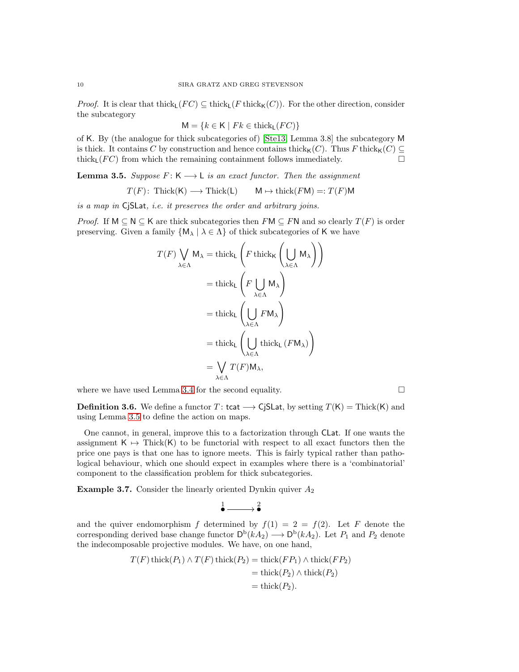*Proof.* It is clear that thick<sub>L</sub>( $FC$ )  $\subseteq$  thick<sub>K</sub>( $C$ )). For the other direction, consider the subcategory

$$
M = \{k \in K \mid Fk \in \text{thick}_L(FC)\}\
$$

of K. By (the analogue for thick subcategories of) [\[Ste13,](#page-32-12) Lemma 3.8] the subcategory M is thick. It contains C by construction and hence contains thick<sub>K</sub>(C). Thus F thick<sub>K</sub>(C) ⊆ thick (FC) from which the remaining containment follows immediately. thick<sub>L</sub>( $FC$ ) from which the remaining containment follows immediately.

<span id="page-9-0"></span>**Lemma 3.5.** *Suppose*  $F: K \longrightarrow L$  *is an exact functor. Then the assignment* 

$$
T(F): \text{Thick}(K) \longrightarrow \text{Thick}(L) \qquad M \mapsto \text{thick}(F M) =: T(F)M
$$

*is a map in* CjSLat*, i.e. it preserves the order and arbitrary joins.*

*Proof.* If  $M \subseteq N \subseteq K$  are thick subcategories then  $FM \subseteq FN$  and so clearly  $T(F)$  is order preserving. Given a family  $\{M_{\lambda} \mid \lambda \in \Lambda\}$  of thick subcategories of K we have

$$
T(F) \bigvee_{\lambda \in \Lambda} M_{\lambda} = \text{thick}_{\mathsf{L}} \left( F \text{ thick}_{\mathsf{K}} \left( \bigcup_{\lambda \in \Lambda} M_{\lambda} \right) \right)
$$

$$
= \text{thick}_{\mathsf{L}} \left( F \bigcup_{\lambda \in \Lambda} M_{\lambda} \right)
$$

$$
= \text{thick}_{\mathsf{L}} \left( \bigcup_{\lambda \in \Lambda} F M_{\lambda} \right)
$$

$$
= \text{thick}_{\mathsf{L}} \left( \bigcup_{\lambda \in \Lambda} \text{thick}_{\mathsf{L}} \left( F M_{\lambda} \right) \right)
$$

$$
= \bigvee_{\lambda \in \Lambda} T(F) M_{\lambda},
$$

where we have used Lemma [3.4](#page-8-2) for the second equality.  $\Box$ 

**Definition 3.6.** We define a functor T: tcat  $\longrightarrow$  CjSLat, by setting  $T(K) = \text{Thick}(K)$  and using Lemma [3.5](#page-9-0) to define the action on maps.

One cannot, in general, improve this to a factorization through CLat. If one wants the assignment  $K \mapsto \text{Thick}(K)$  to be functorial with respect to all exact functors then the price one pays is that one has to ignore meets. This is fairly typical rather than pathological behaviour, which one should expect in examples where there is a 'combinatorial' component to the classification problem for thick subcategories.

<span id="page-9-1"></span>**Example 3.7.** Consider the linearly oriented Dynkin quiver  $A_2$ 

$$
\overset{1}{\bullet}\xrightarrow{\hspace*{1.5cm}}\overset{2}{\bullet}
$$

and the quiver endomorphism f determined by  $f(1) = 2 = f(2)$ . Let F denote the corresponding derived base change functor  $\mathsf{D}^{\mathrm{b}}(kA_2) \longrightarrow \mathsf{D}^{\mathrm{b}}(kA_2)$ . Let  $P_1$  and  $P_2$  denote the indecomposable projective modules. We have, on one hand,

$$
T(F) \operatorname{thick}(P_1) \wedge T(F) \operatorname{thick}(P_2) = \operatorname{thick}(FP_1) \wedge \operatorname{thick}(FP_2)
$$

$$
= \operatorname{thick}(P_2) \wedge \operatorname{thick}(P_2)
$$

$$
= \operatorname{thick}(P_2).
$$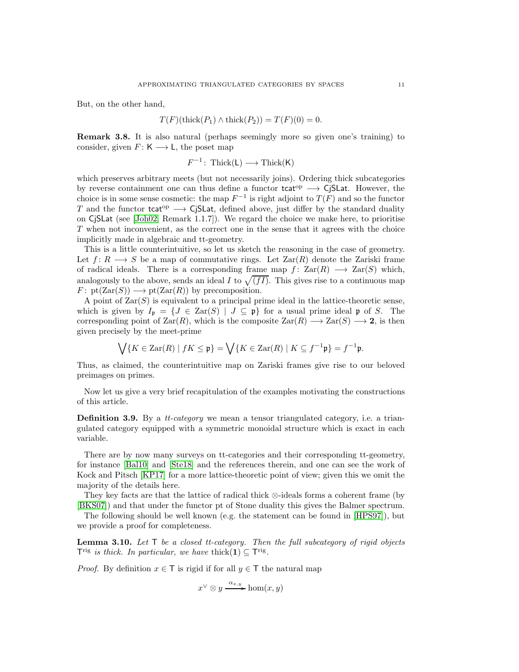But, on the other hand,

$$
T(F)(\text{thick}(P_1) \wedge \text{thick}(P_2)) = T(F)(0) = 0.
$$

Remark 3.8. It is also natural (perhaps seemingly more so given one's training) to consider, given  $F: K \longrightarrow L$ , the poset map

$$
F^{-1}\colon \operatorname{Thick}(L) \longrightarrow \operatorname{Thick}(K)
$$

which preserves arbitrary meets (but not necessarily joins). Ordering thick subcategories by reverse containment one can thus define a functor  $\text{tcat}^{\text{op}} \longrightarrow \text{CiSLat}$ . However, the choice is in some sense cosmetic: the map  $F^{-1}$  is right adjoint to  $T(F)$  and so the functor T and the functor tcat<sup>op</sup>  $\longrightarrow$  CjSLat, defined above, just differ by the standard duality on CjSLat (see [\[Joh02,](#page-32-9) Remark 1.1.7]). We regard the choice we make here, to prioritise T when not inconvenient, as the correct one in the sense that it agrees with the choice implicitly made in algebraic and tt-geometry.

This is a little counterintuitive, so let us sketch the reasoning in the case of geometry. Let  $f: R \longrightarrow S$  be a map of commutative rings. Let  $\text{Zar}(R)$  denote the Zariski frame of radical ideals. There is a corresponding frame map  $f: Zar(R) \longrightarrow Zar(S)$  which, analogously to the above, sends an ideal I to  $\sqrt{(fI)}$ . This gives rise to a continuous map  $F: \text{pt}(\text{Zar}(S)) \longrightarrow \text{pt}(\text{Zar}(R))$  by precomposition.

A point of  $\text{Zar}(S)$  is equivalent to a principal prime ideal in the lattice-theoretic sense, which is given by  $I_p = \{J \in \text{Zar}(S) \mid J \subseteq p\}$  for a usual prime ideal p of S. The corresponding point of  $\text{Zar}(R)$ , which is the composite  $\text{Zar}(R) \longrightarrow \text{Zar}(S) \longrightarrow 2$ , is then given precisely by the meet-prime

$$
\bigvee \{ K \in \text{Zar}(R) \mid fK \le \mathfrak{p} \} = \bigvee \{ K \in \text{Zar}(R) \mid K \subseteq f^{-1}\mathfrak{p} \} = f^{-1}\mathfrak{p}.
$$

Thus, as claimed, the counterintuitive map on Zariski frames give rise to our beloved preimages on primes.

Now let us give a very brief recapitulation of the examples motivating the constructions of this article.

Definition 3.9. By a *tt-category* we mean a tensor triangulated category, i.e. a triangulated category equipped with a symmetric monoidal structure which is exact in each variable.

There are by now many surveys on tt-categories and their corresponding tt-geometry, for instance [\[Bal10\]](#page-32-13) and [\[Ste18\]](#page-32-14) and the references therein, and one can see the work of Kock and Pitsch [\[KP17\]](#page-32-15) for a more lattice-theoretic point of view; given this we omit the majority of the details here.

They key facts are that the lattice of radical thick ⊗-ideals forms a coherent frame (by [\[BKS07\]](#page-32-16)) and that under the functor pt of Stone duality this gives the Balmer spectrum.

The following should be well known (e.g. the statement can be found in [\[HPS97\]](#page-32-17)), but we provide a proof for completeness.

<span id="page-10-0"></span>Lemma 3.10. *Let* T *be a closed tt-category. Then the full subcategory of rigid objects*  $T^{\text{rig}}$  *is thick. In particular, we have* thick $(1) \subseteq T^{\text{rig}}$ .

*Proof.* By definition  $x \in \mathsf{T}$  is rigid if for all  $y \in \mathsf{T}$  the natural map

$$
x^{\vee} \otimes y \xrightarrow{\alpha_{x,y}} \text{hom}(x, y)
$$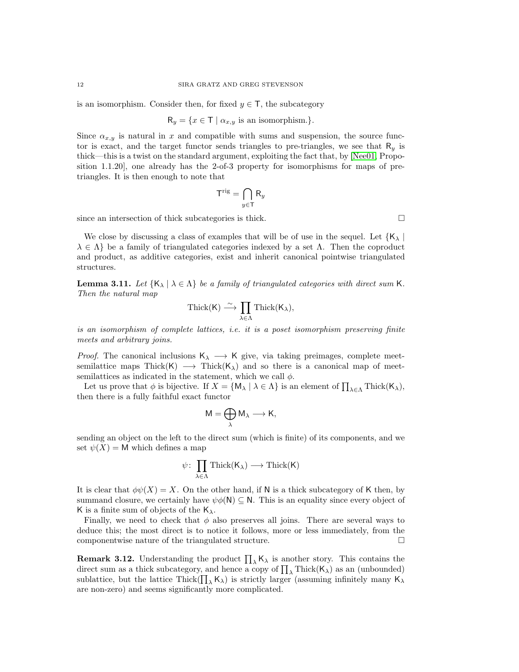is an isomorphism. Consider then, for fixed  $y \in \mathsf{T}$ , the subcategory

$$
R_y = \{ x \in T \mid \alpha_{x,y} \text{ is an isomorphism.} \}.
$$

Since  $\alpha_{x,y}$  is natural in x and compatible with sums and suspension, the source functor is exact, and the target functor sends triangles to pre-triangles, we see that  $R_y$  is thick—this is a twist on the standard argument, exploiting the fact that, by [\[Nee01,](#page-32-18) Proposition 1.1.20], one already has the 2-of-3 property for isomorphisms for maps of pretriangles. It is then enough to note that

$$
\mathsf{T}^{\text{rig}} = \bigcap_{y \in \mathsf{T}} \mathsf{R}_y
$$

since an intersection of thick subcategories is thick.  $\Box$ 

We close by discussing a class of examples that will be of use in the sequel. Let  ${K_\lambda}$  $\lambda \in \Lambda$  be a family of triangulated categories indexed by a set  $\Lambda$ . Then the coproduct and product, as additive categories, exist and inherit canonical pointwise triangulated structures.

<span id="page-11-0"></span>**Lemma 3.11.** Let  $\{K_{\lambda} | \lambda \in \Lambda\}$  be a family of triangulated categories with direct sum K. *Then the natural map*

$$
\operatorname{Thick}(K) \stackrel{\sim}{\longrightarrow} \prod_{\lambda \in \Lambda} \operatorname{Thick}(K_{\lambda}),
$$

*is an isomorphism of complete lattices, i.e. it is a poset isomorphism preserving finite meets and arbitrary joins.*

*Proof.* The canonical inclusions  $K_{\lambda} \longrightarrow K$  give, via taking preimages, complete meetsemilattice maps Thick(K)  $\longrightarrow$  Thick(K<sub> $\lambda$ </sub>) and so there is a canonical map of meetsemilattices as indicated in the statement, which we call  $\phi$ .

Let us prove that  $\phi$  is bijective. If  $X = \{M_{\lambda} \mid \lambda \in \Lambda\}$  is an element of  $\prod_{\lambda \in \Lambda} \text{Thick}(K_{\lambda}),$ then there is a fully faithful exact functor

$$
M=\bigoplus_{\lambda}M_{\lambda}\longrightarrow K,
$$

sending an object on the left to the direct sum (which is finite) of its components, and we set  $\psi(X) = M$  which defines a map

$$
\psi\colon \prod_{\lambda\in\Lambda}\mathrm{Thick}(K_\lambda)\longrightarrow\mathrm{Thick}(K)
$$

It is clear that  $\phi\psi(X) = X$ . On the other hand, if N is a thick subcategory of K then, by summand closure, we certainly have  $\psi \phi(N) \subseteq N$ . This is an equality since every object of K is a finite sum of objects of the  $K_{\lambda}$ .

Finally, we need to check that  $\phi$  also preserves all joins. There are several ways to deduce this; the most direct is to notice it follows, more or less immediately, from the componentwise nature of the triangulated structure.  $\Box$ 

**Remark 3.12.** Understanding the product  $\prod_{\lambda} K_{\lambda}$  is another story. This contains the direct sum as a thick subcategory, and hence a copy of  $\prod_{\lambda}$  Thick( $\mathsf{K}_{\lambda}$ ) as an (unbounded) sublattice, but the lattice Thick( $\prod_{\lambda}$ K<sub> $\lambda$ </sub>) is strictly larger (assuming infinitely many K<sub> $\lambda$ </sub> are non-zero) and seems significantly more complicated.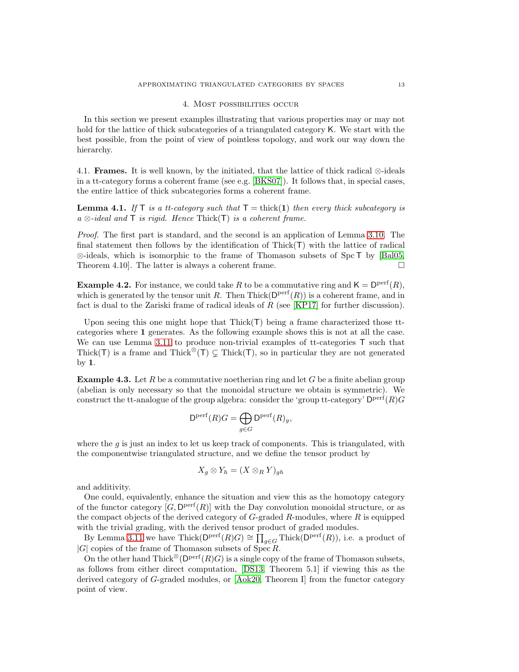## 4. Most possibilities occur

<span id="page-12-0"></span>In this section we present examples illustrating that various properties may or may not hold for the lattice of thick subcategories of a triangulated category K. We start with the best possible, from the point of view of pointless topology, and work our way down the hierarchy.

4.1. **Frames.** It is well known, by the initiated, that the lattice of thick radical ⊗-ideals in a tt-category forms a coherent frame (see e.g. [\[BKS07\]](#page-32-16)). It follows that, in special cases, the entire lattice of thick subcategories forms a coherent frame.

<span id="page-12-1"></span>**Lemma 4.1.** If  $\top$  *is a tt-category such that*  $\top =$  thick(1) *then every thick subcategory is a* ⊗*-ideal and* T *is rigid. Hence* Thick(T) *is a coherent frame.*

*Proof.* The first part is standard, and the second is an application of Lemma [3.10.](#page-10-0) The final statement then follows by the identification of Thick(T) with the lattice of radical ⊗-ideals, which is isomorphic to the frame of Thomason subsets of Spc T by [\[Bal05,](#page-32-4) Theorem 4.10]. The latter is always a coherent frame. Theorem 4.10]. The latter is always a coherent frame.

**Example 4.2.** For instance, we could take R to be a commutative ring and  $\mathsf{K} = \mathsf{D}^{\text{perf}}(R)$ , which is generated by the tensor unit R. Then  $Thick(D<sup>perf</sup>(R))$  is a coherent frame, and in fact is dual to the Zariski frame of radical ideals of  $R$  (see [\[KP17\]](#page-32-15) for further discussion).

Upon seeing this one might hope that  $Thick(T)$  being a frame characterized those ttcategories where 1 generates. As the following example shows this is not at all the case. We can use Lemma [3.11](#page-11-0) to produce non-trivial examples of tt-categories  $\bar{\Gamma}$  such that Thick(T) is a frame and Thick<sup>⊗</sup>(T)  $\subseteq$  Thick(T), so in particular they are not generated by 1.

**Example 4.3.** Let R be a commutative noetherian ring and let G be a finite abelian group (abelian is only necessary so that the monoidal structure we obtain is symmetric). We construct the tt-analogue of the group algebra: consider the 'group tt-category'  $D<sup>perf</sup>(R)G$ 

$$
\mathsf{D}^{\mathrm{perf}}(R)G = \bigoplus_{g \in G} \mathsf{D}^{\mathrm{perf}}(R)_g,
$$

where the  $g$  is just an index to let us keep track of components. This is triangulated, with the componentwise triangulated structure, and we define the tensor product by

$$
X_g \otimes Y_h = (X \otimes_R Y)_{gh}
$$

and additivity.

One could, equivalently, enhance the situation and view this as the homotopy category of the functor category  $[G, \mathsf{D}^{\text{perf}}(R)]$  with the Day convolution monoidal structure, or as the compact objects of the derived category of  $G$ -graded  $R$ -modules, where  $R$  is equipped with the trivial grading, with the derived tensor product of graded modules.

By Lemma [3.11](#page-11-0) we have  $\text{Thick}(\mathsf{D}^{\text{perf}}(R)G) \cong \prod_{g \in G} \text{Thick}(\mathsf{D}^{\text{perf}}(R)),$  i.e. a product of  $|G|$  copies of the frame of Thomason subsets of Spec R.

On the other hand  $\text{Thick}^{\otimes}(\mathsf{D}^{\text{perf}}(R)G)$  is a single copy of the frame of Thomason subsets, as follows from either direct computation, [\[DS13,](#page-32-19) Theorem 5.1] if viewing this as the derived category of G-graded modules, or [\[Aok20,](#page-32-20) Theorem I] from the functor category point of view.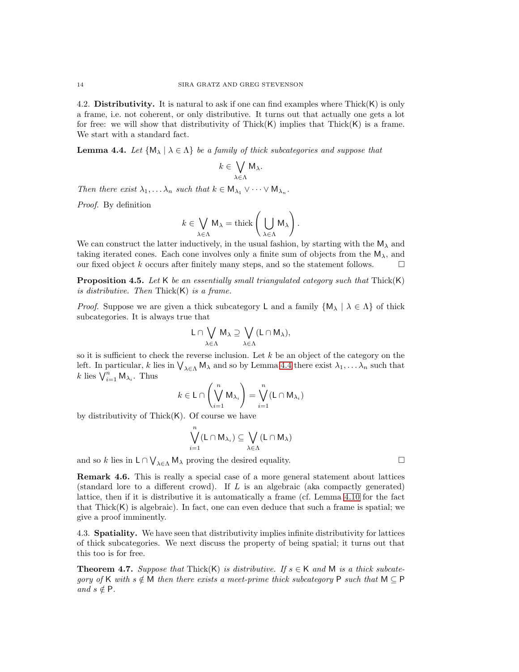4.2. Distributivity. It is natural to ask if one can find examples where  $Thick(K)$  is only a frame, i.e. not coherent, or only distributive. It turns out that actually one gets a lot for free: we will show that distributivity of Thick $(K)$  implies that Thick $(K)$  is a frame. We start with a standard fact.

<span id="page-13-0"></span>**Lemma 4.4.** Let  $\{M_{\lambda} | \lambda \in \Lambda\}$  be a family of thick subcategories and suppose that

$$
k\in\bigvee_{\lambda\in\Lambda}\mathsf{M}_{\lambda}.
$$

*Then there exist*  $\lambda_1, \ldots, \lambda_n$  *such that*  $k \in M_{\lambda_1} \vee \cdots \vee M_{\lambda_n}$ .

*Proof.* By definition

$$
k \in \bigvee_{\lambda \in \Lambda} M_{\lambda} = \text{thick}\left(\bigcup_{\lambda \in \Lambda} M_{\lambda}\right).
$$

We can construct the latter inductively, in the usual fashion, by starting with the  $M_{\lambda}$  and taking iterated cones. Each cone involves only a finite sum of objects from the  $M_{\lambda}$ , and our fixed object  $k$  occurs after finitely many steps, and so the statement follows.  $\Box$ 

Proposition 4.5. *Let* K *be an essentially small triangulated category such that* Thick(K) *is distributive. Then* Thick(K) *is a frame.*

*Proof.* Suppose we are given a thick subcategory L and a family  $\{M_{\lambda} \mid \lambda \in \Lambda\}$  of thick subcategories. It is always true that

$$
L\cap \bigvee_{\lambda\in \Lambda}M_{\lambda}\supseteq \bigvee_{\lambda\in \Lambda}(L\cap M_{\lambda}),
$$

so it is sufficient to check the reverse inclusion. Let  $k$  be an object of the category on the left. In particular, k lies in  $\bigvee_{\lambda \in \Lambda} M_{\lambda}$  and so by Lemma [4.4](#page-13-0) there exist  $\lambda_1, \ldots, \lambda_n$  such that k lies  $\bigvee_{i=1}^{n} M_{\lambda_i}$ . Thus

$$
k \in L \cap \left(\bigvee_{i=1}^{n} M_{\lambda_{i}}\right) = \bigvee_{i=1}^{n} (L \cap M_{\lambda_{i}})
$$

by distributivity of Thick $(K)$ . Of course we have

$$
\bigvee_{i=1}^n(L\cap M_{\lambda_i})\subseteq \bigvee_{\lambda\in\Lambda}(L\cap M_{\lambda})
$$

and so k lies in  $L \cap \bigvee_{\lambda \in \Lambda} M_{\lambda}$  proving the desired equality.

Remark 4.6. This is really a special case of a more general statement about lattices (standard lore to a different crowd). If L is an algebraic (aka compactly generated) lattice, then if it is distributive it is automatically a frame (cf. Lemma [4.10](#page-14-1) for the fact that Thick $(K)$  is algebraic). In fact, one can even deduce that such a frame is spatial; we give a proof imminently.

4.3. Spatiality. We have seen that distributivity implies infinite distributivity for lattices of thick subcategories. We next discuss the property of being spatial; it turns out that this too is for free.

**Theorem 4.7.** Suppose that Thick(K) is distributive. If  $s \in K$  and M is a thick subcate*gory of* K *with*  $s \notin M$  *then there exists a meet-prime thick subcategory* P *such that*  $M \subseteq P$ *and*  $s \notin P$ *.*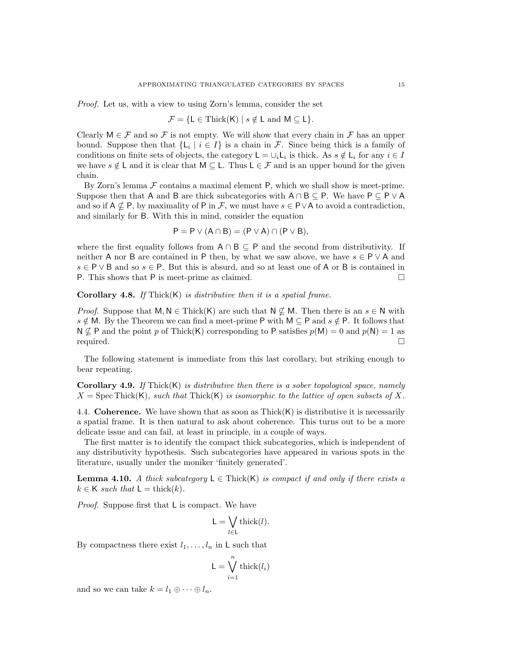*Proof.* Let us, with a view to using Zorn's lemma, consider the set

$$
\mathcal{F} = \{ \mathsf{L} \in \mathrm{Thick}(\mathsf{K}) \mid s \notin \mathsf{L} \mathrm{ and } \mathsf{M} \subseteq \mathsf{L} \}.
$$

Clearly  $M \in \mathcal{F}$  and so  $\mathcal{F}$  is not empty. We will show that every chain in  $\mathcal{F}$  has an upper bound. Suppose then that  $\{L_i \mid i \in I\}$  is a chain in F. Since being thick is a family of conditions on finite sets of objects, the category  $L = \bigcup_i L_i$  is thick. As  $s \notin L_i$  for any  $i \in I$ we have  $s \notin L$  and it is clear that  $M \subseteq L$ . Thus  $L \in \mathcal{F}$  and is an upper bound for the given chain.

By Zorn's lemma  $\mathcal F$  contains a maximal element P, which we shall show is meet-prime. Suppose then that A and B are thick subcategories with  $A \cap B \subseteq P$ . We have  $P \subseteq P \vee A$ and so if  $A \nsubseteq P$ , by maximality of P in F, we must have  $s \in P \vee A$  to avoid a contradiction, and similarly for B. With this in mind, consider the equation

$$
P = P \vee (A \cap B) = (P \vee A) \cap (P \vee B),
$$

where the first equality follows from  $A \cap B \subseteq P$  and the second from distributivity. If neither A nor B are contained in P then, by what we saw above, we have  $s \in \mathsf{P} \vee \mathsf{A}$  and  $s \in \mathsf{P} \vee \mathsf{B}$  and so  $s \in \mathsf{P}$ . But this is absurd, and so at least one of A or B is contained in P. This shows that P is meet-prime as claimed. P. This shows that P is meet-prime as claimed.

<span id="page-14-0"></span>Corollary 4.8. *If* Thick(K) *is distributive then it is a spatial frame.*

*Proof.* Suppose that  $M, N \in Thick(K)$  are such that  $N \nsubseteq M$ . Then there is an  $s \in N$  with  $s \notin M$ . By the Theorem we can find a meet-prime P with  $M \subseteq P$  and  $s \notin P$ . It follows that  $N \nsubseteq P$  and the point p of Thick(K) corresponding to P satisfies  $p(M) = 0$  and  $p(N) = 1$  as required.

The following statement is immediate from this last corollary, but striking enough to bear repeating.

Corollary 4.9. *If* Thick(K) *is distributive then there is a sober topological space, namely*  $X = \text{Spec} \text{Thick}(K)$ *, such that*  $\text{Thick}(K)$  *is isomorphic to the lattice of open subsets of* X.

4.4. **Coherence.** We have shown that as soon as  $Thick(K)$  is distributive it is necessarily a spatial frame. It is then natural to ask about coherence. This turns out to be a more delicate issue and can fail, at least in principle, in a couple of ways.

The first matter is to identify the compact thick subcategories, which is independent of any distributivity hypothesis. Such subcategories have appeared in various spots in the literature, usually under the moniker 'finitely generated'.

<span id="page-14-1"></span>**Lemma 4.10.** *A thick subcategory*  $L \in \text{Thick}(K)$  *is compact if and only if there exists a*  $k \in K$  *such that*  $L = \text{thick}(k)$ .

*Proof.* Suppose first that L is compact. We have

$$
L = \bigvee_{l \in L} \text{thick}(l).
$$

By compactness there exist  $l_1, \ldots, l_n$  in L such that

$$
\mathsf{L} = \bigvee_{i=1}^{n} \operatorname{thick}(l_i)
$$

and so we can take  $k = l_1 \oplus \cdots \oplus l_n$ .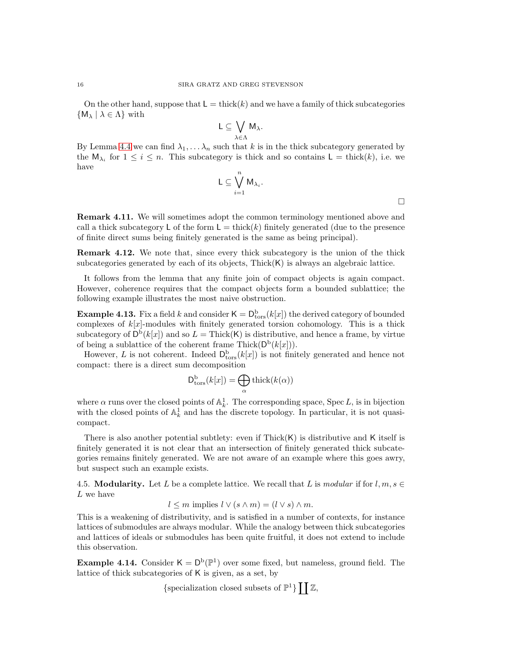On the other hand, suppose that  $\mathsf{L} = \text{thick}(k)$  and we have a family of thick subcategories  ${M_\lambda | \lambda \in \Lambda}$  with

$$
L\subseteq \bigvee_{\lambda\in \Lambda}M_{\lambda}.
$$

By Lemma [4.4](#page-13-0) we can find  $\lambda_1, \ldots, \lambda_n$  such that k is in the thick subcategory generated by the  $\mathsf{M}_{\lambda_i}$  for  $1 \leq i \leq n$ . This subcategory is thick and so contains  $\mathsf{L} = \text{thick}(k)$ , i.e. we have

$$
\mathsf{L} \subseteq \bigvee_{i=1}^n \mathsf{M}_{\lambda_i}.
$$

Remark 4.11. We will sometimes adopt the common terminology mentioned above and call a thick subcategory L of the form  $L = \text{thick}(k)$  finitely generated (due to the presence of finite direct sums being finitely generated is the same as being principal).

Remark 4.12. We note that, since every thick subcategory is the union of the thick subcategories generated by each of its objects,  $Thick(K)$  is always an algebraic lattice.

It follows from the lemma that any finite join of compact objects is again compact. However, coherence requires that the compact objects form a bounded sublattice; the following example illustrates the most naive obstruction.

**Example 4.13.** Fix a field k and consider  $\mathsf{K} = \mathsf{D}^{\mathrm{b}}_{\mathrm{tors}}(k[x])$  the derived category of bounded complexes of  $k[x]$ -modules with finitely generated torsion cohomology. This is a thick subcategory of  $D^b(k[x])$  and so  $L = \text{Thick}(K)$  is distributive, and hence a frame, by virtue of being a sublattice of the coherent frame Thick( $D^b(k[x])$ ).

However, L is not coherent. Indeed  $D^{\text{b}}_{\text{tors}}(k[x])$  is not finitely generated and hence not compact: there is a direct sum decomposition

$$
\mathsf{D}_{\mathrm{tors}}^{\mathrm{b}}(k[x]) = \bigoplus_{\alpha} \mathrm{thick}(k(\alpha))
$$

where  $\alpha$  runs over the closed points of  $\mathbb{A}^1_k$ . The corresponding space, Spec L, is in bijection with the closed points of  $\mathbb{A}^1_k$  and has the discrete topology. In particular, it is not quasicompact.

There is also another potential subtlety: even if  $Thick(K)$  is distributive and K itself is finitely generated it is not clear that an intersection of finitely generated thick subcategories remains finitely generated. We are not aware of an example where this goes awry, but suspect such an example exists.

4.5. **Modularity.** Let L be a complete lattice. We recall that L is *modular* if for  $l, m, s \in$ L we have

$$
l \leq m \text{ implies } l \vee (s \wedge m) = (l \vee s) \wedge m.
$$

This is a weakening of distributivity, and is satisfied in a number of contexts, for instance lattices of submodules are always modular. While the analogy between thick subcategories and lattices of ideals or submodules has been quite fruitful, it does not extend to include this observation.

<span id="page-15-0"></span>**Example 4.14.** Consider  $K = D^b(\mathbb{P}^1)$  over some fixed, but nameless, ground field. The lattice of thick subcategories of K is given, as a set, by

{specialization closed subsets of  $\mathbb{P}^1$ }  $\prod \mathbb{Z}$ ,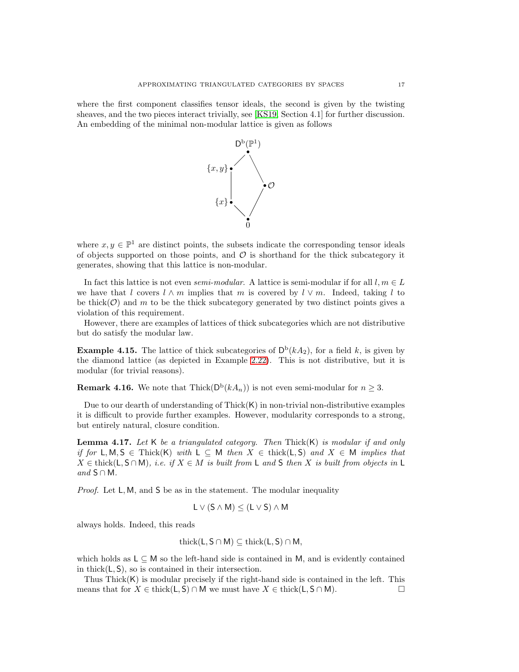where the first component classifies tensor ideals, the second is given by the twisting sheaves, and the two pieces interact trivially, see [\[KS19,](#page-32-21) Section 4.1] for further discussion. An embedding of the minimal non-modular lattice is given as follows



where  $x, y \in \mathbb{P}^1$  are distinct points, the subsets indicate the corresponding tensor ideals of objects supported on those points, and  $\mathcal O$  is shorthand for the thick subcategory it generates, showing that this lattice is non-modular.

In fact this lattice is not even *semi-modular*. A lattice is semi-modular if for all  $l, m \in L$ we have that l covers  $l \wedge m$  implies that m is covered by  $l \vee m$ . Indeed, taking l to be thick $(\mathcal{O})$  and m to be the thick subcategory generated by two distinct points gives a violation of this requirement.

However, there are examples of lattices of thick subcategories which are not distributive but do satisfy the modular law.

**Example 4.15.** The lattice of thick subcategories of  $D^b(kA_2)$ , for a field k, is given by the diamond lattice (as depicted in Example [2.22\)](#page-6-0). This is not distributive, but it is modular (for trivial reasons).

**Remark 4.16.** We note that  $\text{Thick}(D^b(kA_n))$  is not even semi-modular for  $n \geq 3$ .

Due to our dearth of understanding of Thick $(K)$  in non-trivial non-distributive examples it is difficult to provide further examples. However, modularity corresponds to a strong, but entirely natural, closure condition.

Lemma 4.17. *Let* K *be a triangulated category. Then* Thick(K) *is modular if and only if for* L, M, S ∈ Thick(K) *with* L ⊆ M *then*  $X \in$  thick(L, S) *and*  $X \in M$  *implies that*  $X \in \text{thick}(\mathsf{L}, \mathsf{S} \cap \mathsf{M})$ , *i.e. if*  $X \in M$  *is built from*  $\mathsf{L}$  *and*  $\mathsf{S}$  *then* X *is built from objects in*  $\mathsf{L}$  $and$  **S** ∩ **M**.

*Proof.* Let  $L, M$ , and S be as in the statement. The modular inequality

$$
L \vee (S \wedge M) \leq (L \vee S) \wedge M
$$

always holds. Indeed, this reads

$$
\mathrm{thick}(L, S \cap M) \subseteq \mathrm{thick}(L, S) \cap M,
$$

which holds as  $L \subseteq M$  so the left-hand side is contained in M, and is evidently contained in thick $(L, S)$ , so is contained in their intersection.

Thus Thick(K) is modular precisely if the right-hand side is contained in the left. This means that for  $X \in \text{thick}(L, S) \cap M$  we must have  $X \in \text{thick}(L, S \cap M)$ .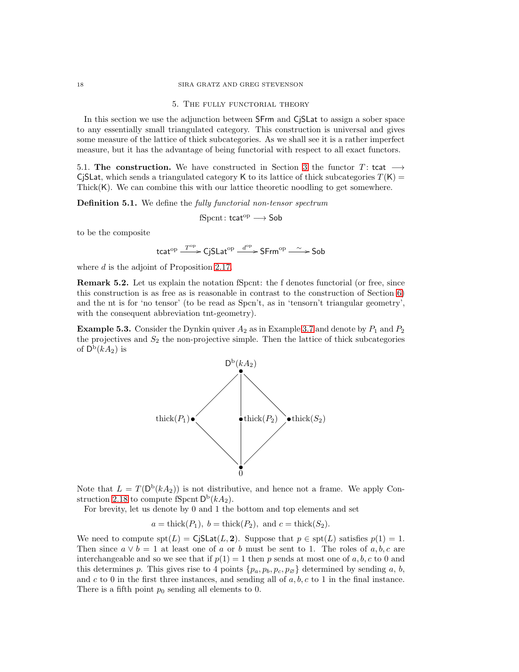#### 18 SIRA GRATZ AND GREG STEVENSON

### 5. The fully functorial theory

In this section we use the adjunction between SFrm and CjSLat to assign a sober space to any essentially small triangulated category. This construction is universal and gives some measure of the lattice of thick subcategories. As we shall see it is a rather imperfect measure, but it has the advantage of being functorial with respect to all exact functors.

5.1. The construction. We have constructed in Section [3](#page-8-0) the functor T: tcat  $\rightarrow$ CjSLat, which sends a triangulated category K to its lattice of thick subcategories  $T(K)$  = Thick(K). We can combine this with our lattice theoretic noodling to get somewhere.

Definition 5.1. We define the *fully functorial non-tensor spectrum*

$$
\mathrm{fS} \mathrm{pcnt}\colon \mathsf{tcat}^\mathrm{op}\longrightarrow \mathsf{Sob}
$$

to be the composite

$$
\mathsf{tcat}^{\mathrm{op}} \xrightarrow{T^{\mathrm{op}}} \mathsf{CjSLat}^{\mathrm{op}} \xrightarrow{d^{\mathrm{op}}} \mathsf{S}\mathsf{Frm}^{\mathrm{op}} \xrightarrow{\sim} \mathsf{Sob}
$$

where d is the adjoint of Proposition [2.17.](#page-5-1)

Remark 5.2. Let us explain the notation fSpcnt: the f denotes functorial (or free, since this construction is as free as is reasonable in contrast to the construction of Section [6\)](#page-21-0) and the nt is for 'no tensor' (to be read as Spcn't, as in 'tensorn't triangular geometry', with the consequent abbreviation tnt-geometry).

<span id="page-17-1"></span>**Example 5.3.** Consider the Dynkin quiver  $A_2$  as in Example [3.7](#page-9-1) and denote by  $P_1$  and  $P_2$ the projectives and  $S_2$  the non-projective simple. Then the lattice of thick subcategories of  $\mathsf{D}^{\mathrm{b}}(kA_2)$  is



Note that  $L = T(D^b(kA_2))$  is not distributive, and hence not a frame. We apply Con-struction [2.18](#page-5-2) to compute fSpcnt  $\mathsf{D}^{\mathrm{b}}(kA_2)$ .

For brevity, let us denote by 0 and 1 the bottom and top elements and set

$$
a =
$$
thick $(P_1)$ ,  $b =$ thick $(P_2)$ , and  $c =$ thick $(S_2)$ .

We need to compute  $\text{spt}(L) = \text{CjSLat}(L, 2)$ . Suppose that  $p \in \text{spt}(L)$  satisfies  $p(1) = 1$ . Then since  $a \vee b = 1$  at least one of a or b must be sent to 1. The roles of a, b, c are interchangeable and so we see that if  $p(1) = 1$  then p sends at most one of a, b, c to 0 and this determines p. This gives rise to 4 points  $\{p_a, p_b, p_c, p_{\varnothing}\}\$  determined by sending a, b, and c to 0 in the first three instances, and sending all of  $a, b, c$  to 1 in the final instance. There is a fifth point  $p_0$  sending all elements to 0.

<span id="page-17-0"></span>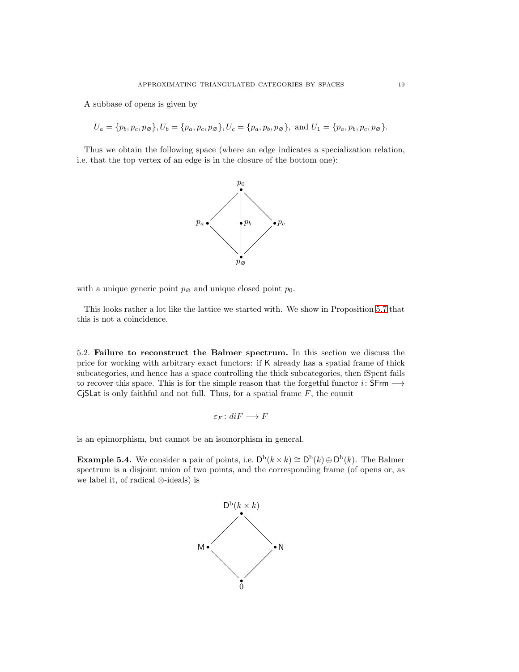A subbase of opens is given by

$$
U_a = \{p_b, p_c, p_{\varnothing}\}, U_b = \{p_a, p_c, p_{\varnothing}\}, U_c = \{p_a, p_b, p_{\varnothing}\}, \text{ and } U_1 = \{p_a, p_b, p_c, p_{\varnothing}\}.
$$

Thus we obtain the following space (where an edge indicates a specialization relation, i.e. that the top vertex of an edge is in the closure of the bottom one):



with a unique generic point  $p_{\emptyset}$  and unique closed point  $p_0$ .

This looks rather a lot like the lattice we started with. We show in Proposition [5.7](#page-20-0) that this is not a coincidence.

<span id="page-18-0"></span>5.2. Failure to reconstruct the Balmer spectrum. In this section we discuss the price for working with arbitrary exact functors: if K already has a spatial frame of thick subcategories, and hence has a space controlling the thick subcategories, then fSpcnt fails to recover this space. This is for the simple reason that the forgetful functor  $i:$  SFrm  $\longrightarrow$ CjSLat is only faithful and not full. Thus, for a spatial frame  $F$ , the counit

$$
\varepsilon_F \colon diF \longrightarrow F
$$

is an epimorphism, but cannot be an isomorphism in general.

**Example 5.4.** We consider a pair of points, i.e.  $D^b(k \times k) \cong D^b(k) \oplus D^b(k)$ . The Balmer spectrum is a disjoint union of two points, and the corresponding frame (of opens or, as we label it, of radical ⊗-ideals) is

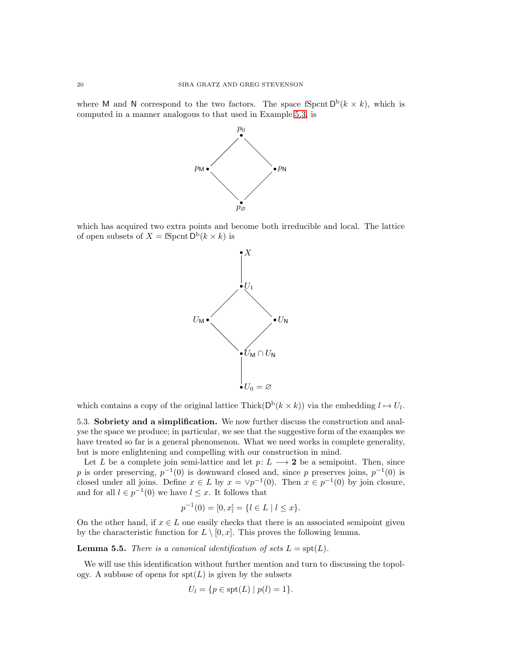where M and N correspond to the two factors. The space fSpcnt  $D^b(k \times k)$ , which is computed in a manner analogous to that used in Example [5.3,](#page-17-1) is



which has acquired two extra points and become both irreducible and local. The lattice of open subsets of  $X = \text{fS}$  pcnt  $\mathsf{D}^{\mathrm{b}}(k \times k)$  is



which contains a copy of the original lattice Thick( $D^b(k \times k)$ ) via the embedding  $l \mapsto U_l$ .

5.3. Sobriety and a simplification. We now further discuss the construction and analyse the space we produce; in particular, we see that the suggestive form of the examples we have treated so far is a general phenomenon. What we need works in complete generality, but is more enlightening and compelling with our construction in mind.

Let L be a complete join semi-lattice and let  $p: L \longrightarrow 2$  be a semipoint. Then, since p is order preserving,  $p^{-1}(0)$  is downward closed and, since p preserves joins,  $p^{-1}(0)$  is closed under all joins. Define  $x \in L$  by  $x = \vee p^{-1}(0)$ . Then  $x \in p^{-1}(0)$  by join closure, and for all  $l \in p^{-1}(0)$  we have  $l \leq x$ . It follows that

$$
p^{-1}(0) = [0, x] = \{l \in L \mid l \le x\}.
$$

On the other hand, if  $x \in L$  one easily checks that there is an associated semipoint given by the characteristic function for  $L \setminus [0, x]$ . This proves the following lemma.

**Lemma 5.5.** *There is a canonical identification of sets*  $L = \text{spt}(L)$ *.* 

We will use this identification without further mention and turn to discussing the topology. A subbase of opens for  $spt(L)$  is given by the subsets

$$
U_l = \{ p \in \operatorname{spt}(L) \mid p(l) = 1 \}.
$$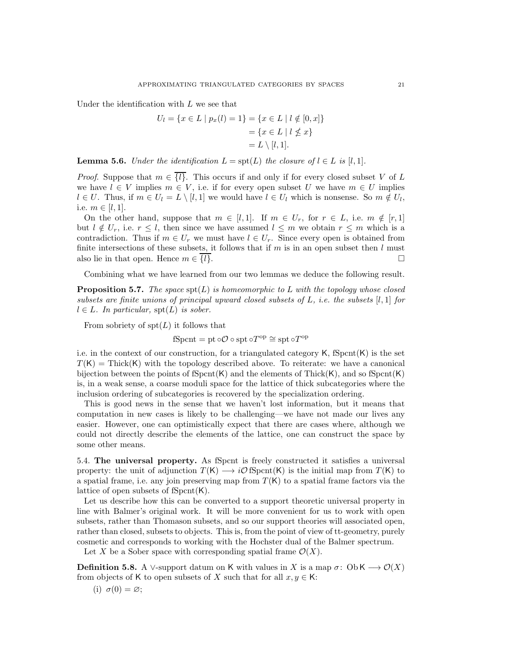Under the identification with L we see that

$$
U_l = \{x \in L \mid p_x(l) = 1\} = \{x \in L \mid l \notin [0, x]\}
$$

$$
= \{x \in L \mid l \nleq x\}
$$

$$
= L \setminus [l, 1].
$$

**Lemma 5.6.** *Under the identification*  $L = \text{spt}(L)$  *the closure of*  $l \in L$  *is* [l, 1]*.* 

*Proof.* Suppose that  $m \in \{l\}$ . This occurs if and only if for every closed subset V of L we have  $l \in V$  implies  $m \in V$ , i.e. if for every open subset U we have  $m \in U$  implies  $l \in U$ . Thus, if  $m \in U_l = L \setminus [l, 1]$  we would have  $l \in U_l$  which is nonsense. So  $m \notin U_l$ , i.e.  $m \in [l, 1]$ .

On the other hand, suppose that  $m \in [l, 1]$ . If  $m \in U_r$ , for  $r \in L$ , i.e.  $m \notin [r, 1]$ but  $l \notin U_r$ , i.e.  $r \leq l$ , then since we have assumed  $l \leq m$  we obtain  $r \leq m$  which is a contradiction. Thus if  $m \in U_r$  we must have  $l \in U_r$ . Since every open is obtained from finite intersections of these subsets, it follows that if m is in an open subset then  $l$  must also lie in that open. Hence  $m \in \{l\}$ .

Combining what we have learned from our two lemmas we deduce the following result.

<span id="page-20-0"></span>**Proposition 5.7.** *The space*  $spt(L)$  *is homeomorphic to* L *with the topology whose closed subsets are finite unions of principal upward closed subsets of* L*, i.e. the subsets* [l, 1] *for*  $l \in L$ *. In particular,*  $\text{spt}(L)$  *is sober.* 

From sobriety of  $spt(L)$  it follows that

$$
fSport = pt \circ \mathcal{O} \circ \text{spt} \circ T^{\text{op}} \cong \text{spt} \circ T^{\text{op}}
$$

i.e. in the context of our construction, for a triangulated category  $\mathsf{K}$ , fSpcnt $(\mathsf{K})$  is the set  $T(K)$  = Thick(K) with the topology described above. To reiterate: we have a canonical bijection between the points of  $Spend(K)$  and the elements of Thick(K), and so  $Spent(K)$ is, in a weak sense, a coarse moduli space for the lattice of thick subcategories where the inclusion ordering of subcategories is recovered by the specialization ordering.

This is good news in the sense that we haven't lost information, but it means that computation in new cases is likely to be challenging—we have not made our lives any easier. However, one can optimistically expect that there are cases where, although we could not directly describe the elements of the lattice, one can construct the space by some other means.

<span id="page-20-1"></span>5.4. The universal property. As fSpcnt is freely constructed it satisfies a universal property: the unit of adjunction  $T(K) \longrightarrow i\mathcal{O}$  fSpcnt(K) is the initial map from  $T(K)$  to a spatial frame, i.e. any join preserving map from  $T(K)$  to a spatial frame factors via the lattice of open subsets of  $fSpcnt(K)$ .

Let us describe how this can be converted to a support theoretic universal property in line with Balmer's original work. It will be more convenient for us to work with open subsets, rather than Thomason subsets, and so our support theories will associated open, rather than closed, subsets to objects. This is, from the point of view of tt-geometry, purely cosmetic and corresponds to working with the Hochster dual of the Balmer spectrum.

Let X be a Sober space with corresponding spatial frame  $\mathcal{O}(X)$ .

**Definition 5.8.** A ∨-support datum on K with values in X is a map  $\sigma$ : Ob K  $\longrightarrow \mathcal{O}(X)$ from objects of K to open subsets of X such that for all  $x, y \in K$ :

(i)  $\sigma(0) = \varnothing;$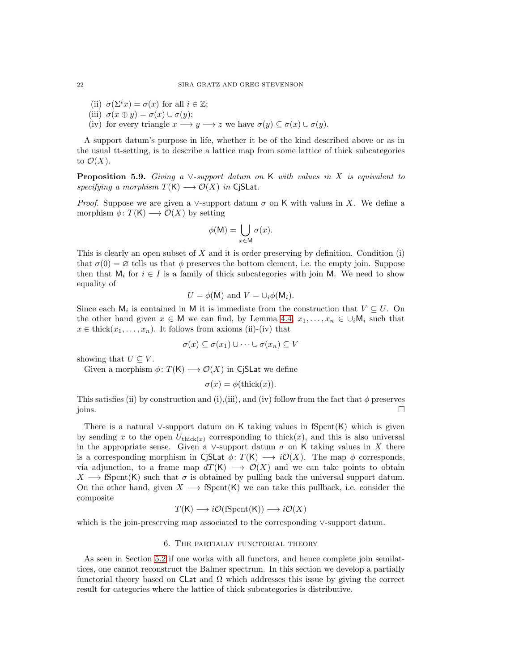- (ii)  $\sigma(\Sigma^i x) = \sigma(x)$  for all  $i \in \mathbb{Z}$ ;
- (iii)  $\sigma(x \oplus y) = \sigma(x) \cup \sigma(y);$
- (iv) for every triangle  $x \longrightarrow y \longrightarrow z$  we have  $\sigma(y) \subseteq \sigma(x) \cup \sigma(y)$ .

A support datum's purpose in life, whether it be of the kind described above or as in the usual tt-setting, is to describe a lattice map from some lattice of thick subcategories to  $\mathcal{O}(X)$ .

Proposition 5.9. *Giving a* ∨*-support datum on* K *with values in* X *is equivalent to specifying a morphism*  $T(K) \longrightarrow \mathcal{O}(X)$  *in* CjSLat.

*Proof.* Suppose we are given a ∨-support datum  $\sigma$  on K with values in X. We define a morphism  $\phi \colon T(K) \longrightarrow \mathcal{O}(X)$  by setting

$$
\phi(\mathsf{M}) = \bigcup_{x \in \mathsf{M}} \sigma(x).
$$

This is clearly an open subset of  $X$  and it is order preserving by definition. Condition (i) that  $\sigma(0) = \emptyset$  tells us that  $\phi$  preserves the bottom element, i.e. the empty join. Suppose then that  $M_i$  for  $i \in I$  is a family of thick subcategories with join M. We need to show equality of

$$
U = \phi(\mathsf{M}) \text{ and } V = \cup_i \phi(\mathsf{M}_i).
$$

Since each  $M_i$  is contained in M it is immediate from the construction that  $V \subseteq U$ . On the other hand given  $x \in M$  we can find, by Lemma [4.4,](#page-13-0)  $x_1, \ldots, x_n \in \bigcup_i M_i$  such that  $x \in \text{thick}(x_1, \ldots, x_n)$ . It follows from axioms (ii)-(iv) that

$$
\sigma(x) \subseteq \sigma(x_1) \cup \cdots \cup \sigma(x_n) \subseteq V
$$

showing that  $U \subseteq V$ .

Given a morphism  $\phi \colon T(K) \longrightarrow \mathcal{O}(X)$  in CjSLat we define

$$
\sigma(x) = \phi(\text{thick}(x)).
$$

This satisfies (ii) by construction and (i),(iii), and (iv) follow from the fact that  $\phi$  preserves  $\Box$ joins.  $\Box$ 

There is a natural ∨-support datum on K taking values in fSpcnt $(K)$  which is given by sending x to the open  $U_{\text{thick}(x)}$  corresponding to thick(x), and this is also universal in the appropriate sense. Given a ∨-support datum  $\sigma$  on K taking values in X there is a corresponding morphism in CjSLat  $\phi \colon T(\mathsf{K}) \longrightarrow i\mathcal{O}(X)$ . The map  $\phi$  corresponds, via adjunction, to a frame map  $dT(K) \longrightarrow \mathcal{O}(X)$  and we can take points to obtain  $X \longrightarrow \text{S}$ pcnt(K) such that  $\sigma$  is obtained by pulling back the universal support datum. On the other hand, given  $X \longrightarrow \text{Sport}(K)$  we can take this pullback, i.e. consider the composite

$$
T(K) \longrightarrow i\mathcal{O}(\mathrm{fSport}(K)) \longrightarrow i\mathcal{O}(X)
$$

<span id="page-21-0"></span>which is the join-preserving map associated to the corresponding ∨-support datum.

## 6. The partially functorial theory

As seen in Section [5.2](#page-18-0) if one works with all functors, and hence complete join semilattices, one cannot reconstruct the Balmer spectrum. In this section we develop a partially functorial theory based on CLat and  $\Omega$  which addresses this issue by giving the correct result for categories where the lattice of thick subcategories is distributive.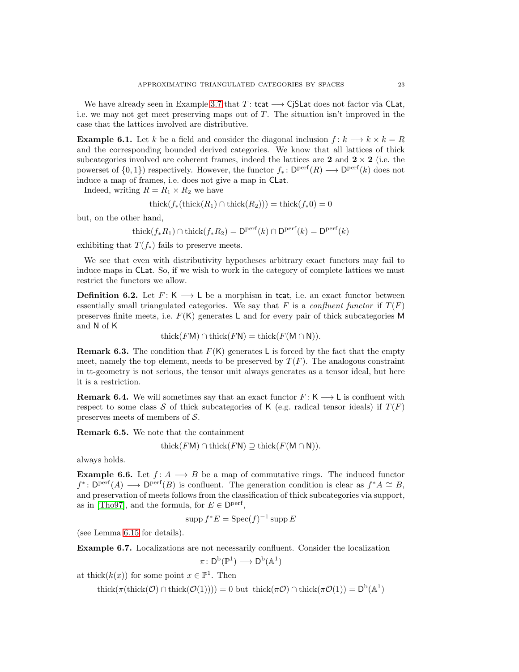We have already seen in Example [3.7](#page-9-1) that  $T:$  tcat  $\longrightarrow$  CjSLat does not factor via CLat, i.e. we may not get meet preserving maps out of  $T$ . The situation isn't improved in the case that the lattices involved are distributive.

**Example 6.1.** Let k be a field and consider the diagonal inclusion  $f: k \longrightarrow k \times k = R$ and the corresponding bounded derived categories. We know that all lattices of thick subcategories involved are coherent frames, indeed the lattices are 2 and  $2 \times 2$  (i.e. the powerset of  $\{0,1\}$ ) respectively. However, the functor  $f_*\colon \mathsf{D}^{\text{perf}}(R) \longrightarrow \mathsf{D}^{\text{perf}}(k)$  does not induce a map of frames, i.e. does not give a map in CLat.

Indeed, writing  $R = R_1 \times R_2$  we have

$$
thick(f_*(thick(R_1) \cap thick(R_2))) = thick(f_*0) = 0
$$

but, on the other hand,

$$
\operatorname{thick}(f_*R_1) \cap \operatorname{thick}(f_*R_2) = \mathsf{D}^{\text{perf}}(k) \cap \mathsf{D}^{\text{perf}}(k) = \mathsf{D}^{\text{perf}}(k)
$$

exhibiting that  $T(f_*)$  fails to preserve meets.

We see that even with distributivity hypotheses arbitrary exact functors may fail to induce maps in CLat. So, if we wish to work in the category of complete lattices we must restrict the functors we allow.

**Definition 6.2.** Let  $F: K \longrightarrow L$  be a morphism in tcat, i.e. an exact functor between essentially small triangulated categories. We say that F is a *confluent functor* if  $T(F)$ preserves finite meets, i.e.  $F(K)$  generates L and for every pair of thick subcategories M and N of K

$$
\operatorname{thick}(F\mathsf{M})\cap\operatorname{thick}(F\mathsf{N})=\operatorname{thick}(F(\mathsf{M}\cap\mathsf{N})).
$$

**Remark 6.3.** The condition that  $F(K)$  generates L is forced by the fact that the empty meet, namely the top element, needs to be preserved by  $T(F)$ . The analogous constraint in tt-geometry is not serious, the tensor unit always generates as a tensor ideal, but here it is a restriction.

**Remark 6.4.** We will sometimes say that an exact functor  $F: K \longrightarrow L$  is confluent with respect to some class S of thick subcategories of K (e.g. radical tensor ideals) if  $T(F)$ preserves meets of members of S.

Remark 6.5. We note that the containment

$$
\mathrm{thick}(F\mathsf{M})\cap\mathrm{thick}(F\mathsf{N})\supseteq\mathrm{thick}(F(\mathsf{M}\cap\mathsf{N})).
$$

always holds.

**Example 6.6.** Let  $f: A \longrightarrow B$  be a map of commutative rings. The induced functor  $f^* \colon \mathsf{D}^{\text{perf}}(A) \longrightarrow \mathsf{D}^{\text{perf}}(B)$  is confluent. The generation condition is clear as  $f^*A \cong B$ , and preservation of meets follows from the classification of thick subcategories via support, as in [\[Tho97\]](#page-32-2), and the formula, for  $E \in \mathsf{D}^{\text{perf}},$ 

$$
\operatorname{supp} f^*E = \operatorname{Spec}(f)^{-1}\operatorname{supp} E
$$

(see Lemma [6.15](#page-24-0) for details).

<span id="page-22-0"></span>Example 6.7. Localizations are not necessarily confluent. Consider the localization

$$
\pi\colon \mathsf{D}^{\operatorname{b}\nolimits}(\mathbb{P}^1)\longrightarrow \mathsf{D}^{\operatorname{b}\nolimits}(\mathbb{A}^1)
$$

at thick $(k(x))$  for some point  $x \in \mathbb{P}^1$ . Then

thick( $\pi(\text{thick}(\mathcal{O}) \cap \text{thick}(\mathcal{O}(1)))) = 0$  but thick( $\pi \mathcal{O}(\pi) \cap \text{thick}(\pi \mathcal{O}(1)) = D^b(\mathbb{A}^1)$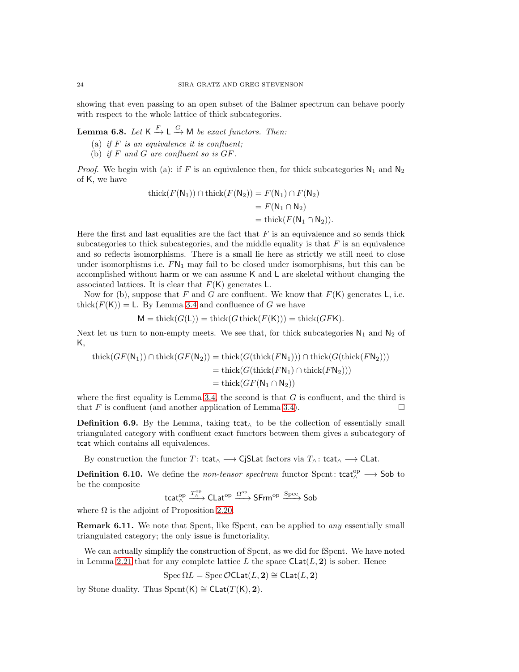showing that even passing to an open subset of the Balmer spectrum can behave poorly with respect to the whole lattice of thick subcategories.

**Lemma 6.8.** Let  $K \xrightarrow{F} L \xrightarrow{G} M$  be exact functors. Then:

- (a) *if* F *is an equivalence it is confluent;*
- (b) *if* F *and* G *are confluent so is* GF*.*

*Proof.* We begin with (a): if F is an equivalence then, for thick subcategories  $N_1$  and  $N_2$ of K, we have

$$
\begin{aligned} \text{thick}(F(\mathsf{N}_1)) \cap \text{thick}(F(\mathsf{N}_2)) &= F(\mathsf{N}_1) \cap F(\mathsf{N}_2) \\ &= F(\mathsf{N}_1 \cap \mathsf{N}_2) \\ &= \text{thick}(F(\mathsf{N}_1 \cap \mathsf{N}_2)). \end{aligned}
$$

Here the first and last equalities are the fact that  $F$  is an equivalence and so sends thick subcategories to thick subcategories, and the middle equality is that  $F$  is an equivalence and so reflects isomorphisms. There is a small lie here as strictly we still need to close under isomorphisms i.e.  $FN_1$  may fail to be closed under isomorphisms, but this can be accomplished without harm or we can assume K and L are skeletal without changing the associated lattices. It is clear that  $F(K)$  generates L.

Now for (b), suppose that F and G are confluent. We know that  $F(K)$  generates L, i.e. thick $(F(K)) = L$ . By Lemma [3.4](#page-8-2) and confluence of G we have

$$
M = \text{thick}(G(\mathsf{L})) = \text{thick}(G \text{thick}(F(\mathsf{K}))) = \text{thick}(GF\mathsf{K}).
$$

Next let us turn to non-empty meets. We see that, for thick subcategories  $N_1$  and  $N_2$  of K,

$$
\begin{aligned} \operatorname{thick}(GF(\mathsf{N}_1)) \cap \operatorname{thick}(GF(\mathsf{N}_2)) &= \operatorname{thick}(G(\operatorname{thick}(F\mathsf{N}_1))) \cap \operatorname{thick}(G(\operatorname{thick}(F\mathsf{N}_2))) \\ &= \operatorname{thick}(G(\operatorname{thick}(F\mathsf{N}_1) \cap \operatorname{thick}(F\mathsf{N}_2))) \\ &= \operatorname{thick}(GF(\mathsf{N}_1 \cap \mathsf{N}_2)) \end{aligned}
$$

where the first equality is Lemma [3.4,](#page-8-2) the second is that  $G$  is confluent, and the third is that F is confluent (and another application of Lemma [3.4\)](#page-8-2).

**Definition 6.9.** By the Lemma, taking tcat∧ to be the collection of essentially small triangulated category with confluent exact functors between them gives a subcategory of tcat which contains all equivalences.

By construction the functor T: tcat<sub>∧</sub>  $\longrightarrow$  CjSLat factors via  $T_\wedge$ : tcat<sub>∧</sub>  $\longrightarrow$  CLat.

**Definition 6.10.** We define the *non-tensor spectrum* functor Spcnt: tcat<sup>op</sup>  $\longrightarrow$  Sob to be the composite

$$
\mathsf{tcat}^{\mathrm{op}}_{\wedge} \xrightarrow{T_{\wedge}^{\mathrm{op}}} \mathsf{Clat}^{\mathrm{op}} \xrightarrow{\Omega^{\mathrm{op}}} \mathsf{S}\mathsf{Frm}^{\mathrm{op}} \xrightarrow{\mathrm{Spec}} \mathsf{Sob}
$$

where  $\Omega$  is the adjoint of Proposition [2.20.](#page-6-1)

Remark 6.11. We note that Spcnt, like fSpcnt, can be applied to *any* essentially small triangulated category; the only issue is functoriality.

We can actually simplify the construction of Spcnt, as we did for fSpcnt. We have noted in Lemma [2.21](#page-6-2) that for any complete lattice L the space  $\text{Clat}(L, 2)$  is sober. Hence

$$
\operatorname{Spec} \Omega L = \operatorname{Spec} \mathcal{O} {\sf{CLat}}(L, 2) \cong {\sf{CLat}}(L, 2)
$$

by Stone duality. Thus Spcnt(K)  $\cong$  CLat(T(K), 2).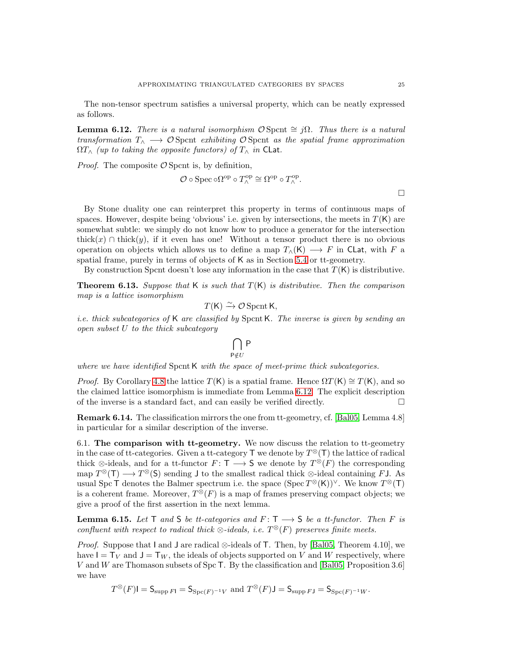The non-tensor spectrum satisfies a universal property, which can be neatly expressed as follows.

<span id="page-24-1"></span>**Lemma 6.12.** *There is a natural isomorphism*  $\mathcal{O}$  Spcnt  $\cong j\Omega$ *. Thus there is a natural transformation* T<sup>∧</sup> −→ O Spcnt *exhibiting* O Spcnt *as the spatial frame approximation*  $\Omega T_{\wedge}$  *(up to taking the opposite functors) of*  $T_{\wedge}$  *in* CLat.

*Proof.* The composite  $\mathcal{O}$  Spcnt is, by definition,

$$
\mathcal{O} \circ \operatorname{Spec} \circ \Omega^{\mathrm{op}} \circ T^{\mathrm{op}}_{\wedge} \cong \Omega^{\mathrm{op}} \circ T^{\mathrm{op}}_{\wedge}.
$$

By Stone duality one can reinterpret this property in terms of continuous maps of spaces. However, despite being 'obvious' i.e. given by intersections, the meets in  $T(K)$  are somewhat subtle: we simply do not know how to produce a generator for the intersection thick(x) ∩ thick(y), if it even has one! Without a tensor product there is no obvious operation on objects which allows us to define a map  $T_(\mathsf{K}) \longrightarrow F$  in CLat, with F a spatial frame, purely in terms of objects of K as in Section [5.4](#page-20-1) or tt-geometry.

By construction Spcnt doesn't lose any information in the case that  $T(K)$  is distributive.

<span id="page-24-2"></span>**Theorem 6.13.** Suppose that K is such that  $T(K)$  is distributive. Then the comparison *map is a lattice isomorphism*

$$
T(\mathsf{K}) \xrightarrow{\sim} \mathcal{O} \operatorname{Spcnt} \mathsf{K},
$$

*i.e. thick subcategories of* K *are classified by* SpcntK*. The inverse is given by sending an open subset* U *to the thick subcategory*

$$
\bigcap_{P\notin U}P
$$

*where we have identified* SpcntK *with the space of meet-prime thick subcategories.*

*Proof.* By Corollary [4.8](#page-14-0) the lattice  $T(K)$  is a spatial frame. Hence  $\Omega T(K) \cong T(K)$ , and so the claimed lattice isomorphism is immediate from Lemma [6.12.](#page-24-1) The explicit description of the inverse is a standard fact, and can easily be verified directly.  $\Box$ 

Remark 6.14. The classification mirrors the one from tt-geometry, cf. [\[Bal05,](#page-32-4) Lemma 4.8] in particular for a similar description of the inverse.

6.1. The comparison with tt-geometry. We now discuss the relation to tt-geometry in the case of tt-categories. Given a tt-category  $\mathsf T$  we denote by  $T^\otimes(\mathsf T)$  the lattice of radical thick  $\otimes$ -ideals, and for a tt-functor  $F: \mathsf{T} \longrightarrow \mathsf{S}$  we denote by  $T^{\otimes}(F)$  the corresponding map  $T^{\otimes}(\mathsf{T}) \longrightarrow T^{\otimes}(\mathsf{S})$  sending J to the smallest radical thick ⊗-ideal containing FJ. As usual Spc T denotes the Balmer spectrum i.e. the space  $(Spec T^{\otimes} (K))^{\vee}$ . We know  $T^{\otimes} (T)$ is a coherent frame. Moreover,  $T^{\otimes}(F)$  is a map of frames preserving compact objects; we give a proof of the first assertion in the next lemma.

<span id="page-24-0"></span>**Lemma 6.15.** Let  $\mathsf{T}$  and  $\mathsf{S}$  be tt-categories and  $F: \mathsf{T} \longrightarrow \mathsf{S}$  be a tt-functor. Then  $F$  is  $\emph{confuent with respect to radical thick $\otimes$-ideals, i.e. } T^\otimes(F) \emph{ preserves finite meets.}$ 

*Proof.* Suppose that I and J are radical ⊗-ideals of T. Then, by [\[Bal05,](#page-32-4) Theorem 4.10], we have  $I = T_V$  and  $J = T_W$ , the ideals of objects supported on V and W respectively, where V and W are Thomason subsets of Spc T. By the classification and [\[Bal05,](#page-32-4) Proposition 3.6] we have

$$
T^{\otimes}(F)\mathsf{I} = \mathsf{S}_{\mathrm{supp}\,F\mathsf{I}} = \mathsf{S}_{\mathrm{Spc}(F)^{-1}V} \text{ and } T^{\otimes}(F)\mathsf{J} = \mathsf{S}_{\mathrm{supp}\,F\mathsf{J}} = \mathsf{S}_{\mathrm{Spc}(F)^{-1}W}.
$$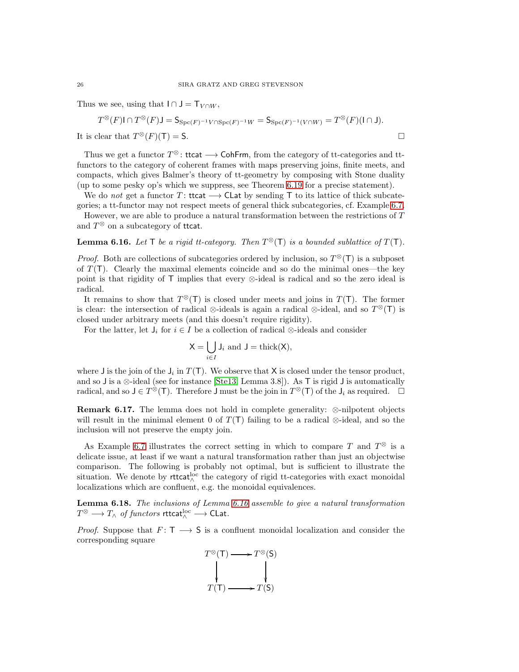Thus we see, using that  $I \cap J = T_{V \cap W}$ ,

$$
T^{\otimes}(F) \text{ and } T^{\otimes}(F) \text{ and } T^{\otimes}(F) \text{ and } T^{\otimes}(F) \text{ and } T^{\otimes}(F) \text{ and } T^{\otimes}(F) \text{ and } T^{\otimes}(F) \text{ and } T^{\otimes}(F) \text{ and } T^{\otimes}(F) \text{ and } T^{\otimes}(F) \text{ and } T^{\otimes}(F) \text{ and } T^{\otimes}(F) \text{ and } T^{\otimes}(F) \text{ and } T^{\otimes}(F) \text{ and } T^{\otimes}(F) \text{ and } T^{\otimes}(F) \text{ and } T^{\otimes}(F) \text{ and } T^{\otimes}(F) \text{ and } T^{\otimes}(F) \text{ and } T^{\otimes}(F) \text{ and } T^{\otimes}(F) \text{ and } T^{\otimes}(F) \text{ and } T^{\otimes}(F) \text{ and } T^{\otimes}(F) \text{ and } T^{\otimes}(F) \text{ and } T^{\otimes}(F) \text{ and } T^{\otimes}(F) \text{ and } T^{\otimes}(F) \text{ and } T^{\otimes}(F) \text{ and } T^{\otimes}(F) \text{ and } T^{\otimes}(F) \text{ and } T^{\otimes}(F) \text{ and } T^{\otimes}(F) \text{ and } T^{\otimes}(F) \text{ and } T^{\otimes}(F) \text{ and } T^{\otimes}(F) \text{ and } T^{\otimes}(F) \text{ and } T^{\otimes}(F) \text{ and } T^{\otimes}(F) \text{ and } T^{\otimes}(F) \text{ and } T^{\otimes}(F) \text{ and } T^{\otimes}(F) \text{ and } T^{\otimes}(F) \text{ and } T^{\otimes}(F) \text{ and } T^{\otimes}(F) \text{ and } T^{\otimes}(F) \text{ and } T^{\otimes}(F) \text{ and } T^{\otimes}(F) \text{ and } T^{\otimes}(F) \text{ and } T^{\otimes}(F) \text{ and } T^{\otimes}(F) \text{ and } T^{\otimes}(F) \text{ and } T^{\otimes}(F) \text{ and } T^{\otimes}(F) \text{ and } T^{\otimes}(F) \text{ and } T^{\otimes}(F) \text{ and } T^{\otimes}(F) \text{ and } T^{\otimes}(F) \text{ and } T^{\otimes
$$

It is clear that  $T^{\otimes}(F)(T) = S$ .

Thus we get a functor  $T^{\otimes}$ : ttcat  $\longrightarrow$  CohFrm, from the category of tt-categories and ttfunctors to the category of coherent frames with maps preserving joins, finite meets, and compacts, which gives Balmer's theory of tt-geometry by composing with Stone duality (up to some pesky op's which we suppress, see Theorem [6.19](#page-26-0) for a precise statement).

We do *not* get a functor T: ttcat  $\longrightarrow$  CLat by sending T to its lattice of thick subcate-

gories; a tt-functor may not respect meets of general thick subcategories, cf. Example [6.7.](#page-22-0) However, we are able to produce a natural transformation between the restrictions of T and  $T^{\otimes}$  on a subcategory of ttcat.

<span id="page-25-0"></span>**Lemma 6.16.** Let  $\mathsf{T}$  be a rigid tt-category. Then  $T^{\otimes}(\mathsf{T})$  is a bounded sublattice of  $T(\mathsf{T})$ .

*Proof.* Both are collections of subcategories ordered by inclusion, so  $T^{\otimes}(\mathsf{T})$  is a subposet of  $T(T)$ . Clearly the maximal elements coincide and so do the minimal ones—the key point is that rigidity of T implies that every ⊗-ideal is radical and so the zero ideal is radical.

It remains to show that  $T^{\otimes}$ (T) is closed under meets and joins in  $T(T)$ . The former is clear: the intersection of radical ⊗-ideals is again a radical ⊗-ideal, and so  $T^{\otimes}(\mathsf{T})$  is closed under arbitrary meets (and this doesn't require rigidity).

For the latter, let  $J_i$  for  $i \in I$  be a collection of radical ⊗-ideals and consider

$$
X = \bigcup_{i \in I} J_i \text{ and } J = \text{thick}(X),
$$

where **J** is the join of the  $J_i$  in  $T(T)$ . We observe that X is closed under the tensor product, and so J is a ⊗-ideal (see for instance [\[Ste13,](#page-32-12) Lemma 3.8]). As T is rigid J is automatically radical, and so  $J \in T^{\hat{\otimes}}(\mathsf{T})$ . Therefore  $J$  must be the join in  $T^{\otimes}(\mathsf{T})$  of the  $J_i$  as required.  $\Box$ 

**Remark 6.17.** The lemma does not hold in complete generality:  $\otimes$ -nilpotent objects will result in the minimal element 0 of  $T(T)$  failing to be a radical ⊗-ideal, and so the inclusion will not preserve the empty join.

As Example [6.7](#page-22-0) illustrates the correct setting in which to compare T and  $T^{\otimes}$  is a delicate issue, at least if we want a natural transformation rather than just an objectwise comparison. The following is probably not optimal, but is sufficient to illustrate the situation. We denote by rttcat $\lambda^{\text{loc}}$  the category of rigid tt-categories with exact monoidal localizations which are confluent, e.g. the monoidal equivalences.

<span id="page-25-1"></span>Lemma 6.18. *The inclusions of Lemma [6.16](#page-25-0) assemble to give a natural transformation*  $T^\otimes \longrightarrow T_\wedge$  *of functors* rttcat $_{\wedge}^{\operatorname{loc}} \longrightarrow$  CLat.

*Proof.* Suppose that  $F: T \longrightarrow S$  is a confluent monoidal localization and consider the corresponding square

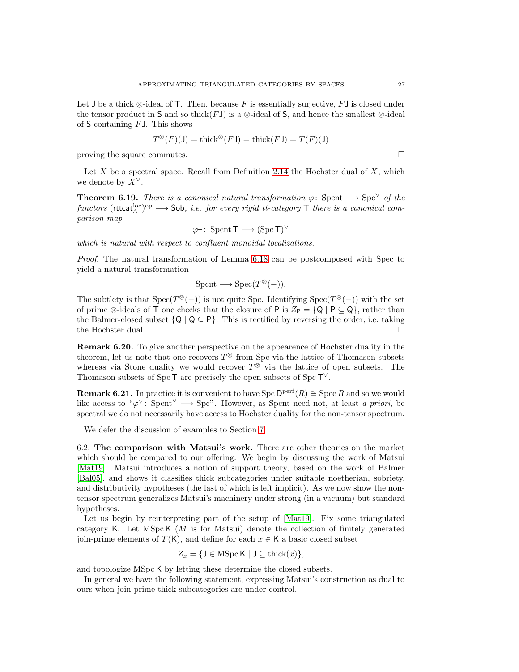Let J be a thick  $\otimes$ -ideal of T. Then, because F is essentially surjective, FJ is closed under the tensor product in S and so thick(FJ) is a ⊗-ideal of S, and hence the smallest  $\otimes$ -ideal of  $S$  containing  $FJ$ . This shows

$$
T^{\otimes}(F)(J) = \text{thick}^{\otimes}(FJ) = \text{thick}(FJ) = T(F)(J)
$$

proving the square commutes.  $\Box$ 

Let  $X$  be a spectral space. Recall from Definition [2.14](#page-4-2) the Hochster dual of  $X$ , which we denote by  $X^{\vee}$ .

<span id="page-26-0"></span>**Theorem 6.19.** *There is a canonical natural transformation*  $\varphi$ : Spcnt  $\longrightarrow$  Spc<sup> $\vee$ </sup> of the  $functors$  ( $rttext{tcat}^{\text{loc}}_{\wedge}$ <sup>op</sup>  $\longrightarrow$  Sob, *i.e. for every rigid tt-category*  $\top$  *there is a canonical comparison map*

$$
\varphi_T\colon\operatorname{Sport} T\longrightarrow (\operatorname{Spc} T)^\vee
$$

*which is natural with respect to confluent monoidal localizations.*

*Proof.* The natural transformation of Lemma [6.18](#page-25-1) can be postcomposed with Spec to yield a natural transformation

$$
\mathrm{Sport} \longrightarrow \mathrm{Spec}(T^\otimes(-)).
$$

The subtlety is that  $Spec(T^{\otimes}(-))$  is not quite Spc. Identifying  $Spec(T^{\otimes}(-))$  with the set of prime ⊗-ideals of T one checks that the closure of P is  $Z_P = \{Q \mid P \subseteq Q\}$ , rather than the Balmer-closed subset  $\{Q \mid Q \subseteq P\}$ . This is rectified by reversing the order, i.e. taking the Hochster dual the Hochster dual.

Remark 6.20. To give another perspective on the appearence of Hochster duality in the theorem, let us note that one recovers  $T^{\otimes}$  from Spc via the lattice of Thomason subsets whereas via Stone duality we would recover  $T^{\otimes}$  via the lattice of open subsets. The Thomason subsets of Spc T are precisely the open subsets of  $Spc T^{\vee}$ .

**Remark 6.21.** In practice it is convenient to have Spc  $D^{perf}(R) \cong$  Spec R and so we would like access to " $\varphi^{\vee}$ : Spcnt<sup> $\vee$ </sup>  $\longrightarrow$  Spc". However, as Spcnt need not, at least *a priori*, be spectral we do not necessarily have access to Hochster duality for the non-tensor spectrum.

We defer the discussion of examples to Section [7.](#page-29-0)

6.2. The comparison with Matsui's work. There are other theories on the market which should be compared to our offering. We begin by discussing the work of Matsui [\[Mat19\]](#page-32-6). Matsui introduces a notion of support theory, based on the work of Balmer [\[Bal05\]](#page-32-4), and shows it classifies thick subcategories under suitable noetherian, sobriety, and distributivity hypotheses (the last of which is left implicit). As we now show the nontensor spectrum generalizes Matsui's machinery under strong (in a vacuum) but standard hypotheses.

Let us begin by reinterpreting part of the setup of [\[Mat19\]](#page-32-6). Fix some triangulated category K. Let  $MSpcK$  (*M* is for Matsui) denote the collection of finitely generated join-prime elements of  $T(K)$ , and define for each  $x \in K$  a basic closed subset

$$
Z_x = \{ \mathsf{J} \in \text{MSpc } \mathsf{K} \mid \mathsf{J} \subseteq \text{thick}(x) \},
$$

and topologize MSpc K by letting these determine the closed subsets.

In general we have the following statement, expressing Matsui's construction as dual to ours when join-prime thick subcategories are under control.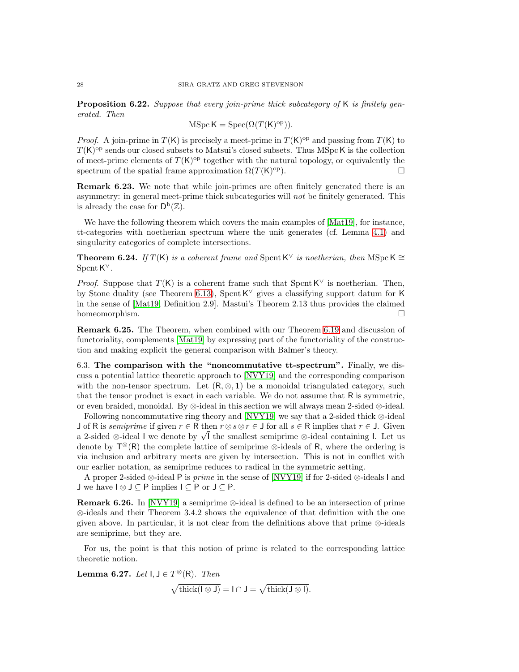Proposition 6.22. *Suppose that every join-prime thick subcategory of* K *is finitely generated. Then*

$$
MSpc K = Spec(\Omega(T(K)^{op})).
$$

*Proof.* A join-prime in  $T(K)$  is precisely a meet-prime in  $T(K)$ <sup>op</sup> and passing from  $T(K)$  to  $T(K)$ <sup>op</sup> sends our closed subsets to Matsui's closed subsets. Thus MSpc K is the collection of meet-prime elements of  $T(K)^\text{op}$  together with the natural topology, or equivalently the spectrum of the spatial frame approximation  $\Omega(T(K)^{op})$ .  $\Box$ 

Remark 6.23. We note that while join-primes are often finitely generated there is an asymmetry: in general meet-prime thick subcategories will *not* be finitely generated. This is already the case for  $\mathsf{D}^{\mathrm{b}}(\mathbb{Z})$ .

We have the following theorem which covers the main examples of [\[Mat19\]](#page-32-6), for instance, tt-categories with noetherian spectrum where the unit generates (cf. Lemma [4.1\)](#page-12-1) and singularity categories of complete intersections.

**Theorem 6.24.** *If*  $T(K)$  *is a coherent frame and* Spcnt K<sup> $\vee$ </sup> *is noetherian, then* MSpc K ≅ SpcntK ∨*.*

*Proof.* Suppose that  $T(K)$  is a coherent frame such that Spcnt K<sup> $\vee$ </sup> is noetherian. Then, by Stone duality (see Theorem [6.13\)](#page-24-2), Spcnt  $\mathsf{K}^{\vee}$  gives a classifying support datum for  $\mathsf{K}$ in the sense of [\[Mat19,](#page-32-6) Definition 2.9]. Mastui's Theorem 2.13 thus provides the claimed homeomorphism.  $\square$ 

Remark 6.25. The Theorem, when combined with our Theorem [6.19](#page-26-0) and discussion of functoriality, complements [\[Mat19\]](#page-32-6) by expressing part of the functoriality of the construction and making explicit the general comparison with Balmer's theory.

6.3. The comparison with the "noncommutative tt-spectrum". Finally, we discuss a potential lattice theoretic approach to [\[NVY19\]](#page-32-5) and the corresponding comparison with the non-tensor spectrum. Let  $(R, \otimes, 1)$  be a monoidal triangulated category, such that the tensor product is exact in each variable. We do not assume that R is symmetric, or even braided, monoidal. By ⊗-ideal in this section we will always mean 2-sided ⊗-ideal.

Following noncommutative ring theory and [\[NVY19\]](#page-32-5) we say that a 2-sided thick ⊗-ideal J of R is *semiprime* if given  $r \in \mathbb{R}$  then  $r \otimes s \otimes r \in J$  for all  $s \in \mathbb{R}$  implies that  $r \in J$ . Given a 2-sided ⊗-ideal I we denote by  $\sqrt{I}$  the smallest semiprime ⊗-ideal containing I. Let us denote by  $\mathsf{T}^\otimes(\mathsf{R})$  the complete lattice of semiprime  $\otimes$ -ideals of R, where the ordering is via inclusion and arbitrary meets are given by intersection. This is not in conflict with our earlier notation, as semiprime reduces to radical in the symmetric setting.

A proper 2-sided ⊗-ideal P is *prime* in the sense of [\[NVY19\]](#page-32-5) if for 2-sided ⊗-ideals I and J we have  $I \otimes J \subseteq P$  implies  $I \subseteq P$  or  $J \subseteq P$ .

**Remark 6.26.** In [\[NVY19\]](#page-32-5) a semiprime  $\otimes$ -ideal is defined to be an intersection of prime ⊗-ideals and their Theorem 3.4.2 shows the equivalence of that definition with the one given above. In particular, it is not clear from the definitions above that prime ⊗-ideals are semiprime, but they are.

For us, the point is that this notion of prime is related to the corresponding lattice theoretic notion.

**Lemma 6.27.** *Let*  $I, J \in T^{\otimes}(R)$ *. Then*  $\sqrt{\text{thick}(\mathsf{I} \otimes \mathsf{J})} = \mathsf{I} \cap \mathsf{J} = \sqrt{\text{thick}(\mathsf{J} \otimes \mathsf{I})}.$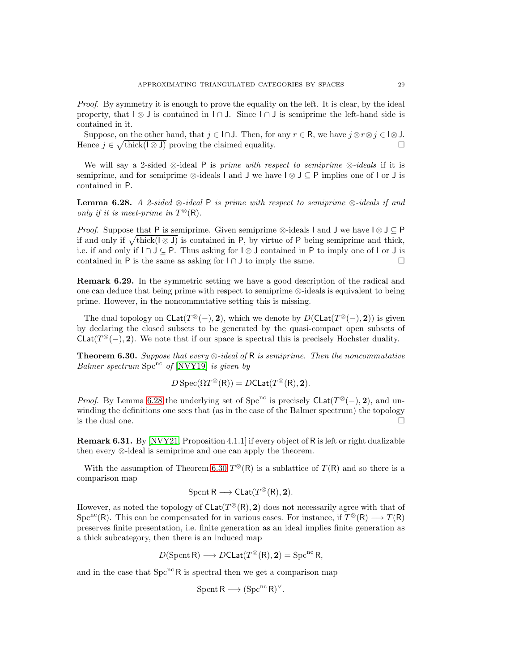*Proof.* By symmetry it is enough to prove the equality on the left. It is clear, by the ideal property, that  $I \otimes J$  is contained in  $I \cap J$ . Since  $I \cap J$  is semiprime the left-hand side is contained in it.

Suppose, on the other hand, that  $j \in I \cap J$ . Then, for any  $r \in R$ , we have  $j \otimes r \otimes j \in I \otimes J$ .<br>ence  $j \in \sqrt{\text{thick}(I \otimes J)}$  proving the claimed equality. Hence  $j \in \sqrt{\text{thick}(\mathbb{I} \otimes \mathsf{J})}$  proving the claimed equality.

We will say a 2-sided ⊗-ideal P is *prime with respect to semiprime* ⊗*-ideals* if it is semiprime, and for semiprime  $\otimes$ -ideals I and J we have  $\vert \otimes \vert \leq P$  implies one of I or J is contained in P.

<span id="page-28-0"></span>Lemma 6.28. *A 2-sided* ⊗*-ideal* P *is prime with respect to semiprime* ⊗*-ideals if and only if it is meet-prime in*  $T^{\otimes}(\mathsf{R})$ *.* 

*Proof.* Suppose that P is semiprime. Given semiprime ⊗-ideals I and J we have  $I \otimes J \subseteq P$ if and only if  $\sqrt{\text{thick}}(\sqrt{S})$  is contained in P, by virtue of P being semiprime and thick, i.e. if and only if  $I \cap J \subseteq P$ . Thus asking for  $I \otimes J$  contained in P to imply one of  $I$  or  $J$  is contained in P is the same as asking for  $I \cap J$  to imply the same contained in P is the same as asking for  $I \cap J$  to imply the same.

Remark 6.29. In the symmetric setting we have a good description of the radical and one can deduce that being prime with respect to semiprime ⊗-ideals is equivalent to being prime. However, in the noncommutative setting this is missing.

The dual topology on  $\mathsf{Clat}(T^\otimes(-), 2)$ , which we denote by  $D(\mathsf{Clat}(T^\otimes(-), 2))$  is given by declaring the closed subsets to be generated by the quasi-compact open subsets of CLat( $T^{\otimes}(-)$ , 2). We note that if our space is spectral this is precisely Hochster duality.

<span id="page-28-1"></span>Theorem 6.30. *Suppose that every* ⊗*-ideal of* R *is semiprime. Then the noncommutative Balmer spectrum* Spc<sup>nc</sup> of [\[NVY19\]](#page-32-5) *is given by* 

$$
DSpec(\Omega T^{\otimes}(\mathsf{R})) = DCLat(T^{\otimes}(\mathsf{R}), 2).
$$

*Proof.* By Lemma [6.28](#page-28-0) the underlying set of Spc<sup>nc</sup> is precisely  $\text{Clat}(T^{\otimes}(-), 2)$ , and unwinding the definitions one sees that (as in the case of the Balmer spectrum) the topology is the dual one.  $\Box$ 

Remark 6.31. By [\[NVY21,](#page-32-22) Proposition 4.1.1] if every object of R is left or right dualizable then every ⊗-ideal is semiprime and one can apply the theorem.

With the assumption of Theorem [6.30](#page-28-1)  $T^{\otimes}(\mathsf{R})$  is a sublattice of  $T(\mathsf{R})$  and so there is a comparison map

$$
\operatorname{Sport} R \longrightarrow \operatorname{Clat}(T^{\otimes}(R), \mathbf{2}).
$$

However, as noted the topology of  $\mathsf{Clat}(T^\otimes(\mathsf{R}), 2)$  does not necessarily agree with that of Spc<sup>nc</sup>(R). This can be compensated for in various cases. For instance, if  $T^{\otimes}(R) \longrightarrow T(R)$ preserves finite presentation, i.e. finite generation as an ideal implies finite generation as a thick subcategory, then there is an induced map

$$
D(\operatorname{Sport} {\mathsf R}) \longrightarrow D{\sf CLat}(T^\otimes({\mathsf R}),{\mathbf 2}) = \operatorname{Spc}^{\operatorname{nc}} {\mathsf R},
$$

and in the case that  $Spec^{nc} R$  is spectral then we get a comparison map

$$
\operatorname{Sport} R \longrightarrow (\operatorname{Spc}^{\operatorname{nc}} R)^{\vee}.
$$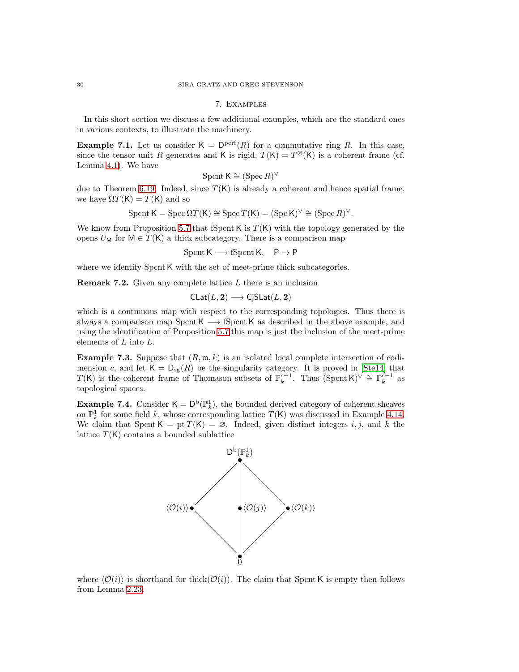## 7. Examples

In this short section we discuss a few additional examples, which are the standard ones in various contexts, to illustrate the machinery.

**Example 7.1.** Let us consider  $K = \mathsf{D}^{\text{perf}}(R)$  for a commutative ring R. In this case, since the tensor unit R generates and K is rigid,  $T(K) = T^{\otimes}(K)$  is a coherent frame (cf. Lemma [4.1\)](#page-12-1). We have

$$
\operatorname{Sport} \mathsf{K} \cong (\operatorname{Spec} R)^\vee
$$

due to Theorem [6.19.](#page-26-0) Indeed, since  $T(K)$  is already a coherent and hence spatial frame, we have  $\Omega T(K) = T(K)$  and so

$$
\text{Sport } \mathsf{K} = \text{Spec } \Omega T(\mathsf{K}) \cong \text{Spec } T(\mathsf{K}) = (\text{Spec } \mathsf{K})^{\vee} \cong (\text{Spec } R)^{\vee}.
$$

We know from Proposition [5.7](#page-20-0) that fSpcnt K is  $T(K)$  with the topology generated by the opens  $U_M$  for  $M \in T(K)$  a thick subcategory. There is a comparison map

$$
S\text{pcnt K} \longrightarrow \text{fS} \text{pcnt K}, \quad P \mapsto P
$$

where we identify Spcnt K with the set of meet-prime thick subcategories.

**Remark 7.2.** Given any complete lattice  $L$  there is an inclusion

$$
\mathsf{Clat}(L,{\bf 2})\longrightarrow \mathsf{CjSLat}(L,{\bf 2})
$$

which is a continuous map with respect to the corresponding topologies. Thus there is always a comparison map Spcnt K  $\rightarrow$  fSpcnt K as described in the above example, and using the identification of Proposition [5.7](#page-20-0) this map is just the inclusion of the meet-prime elements of L into L.

**Example 7.3.** Suppose that  $(R, \mathfrak{m}, k)$  is an isolated local complete intersection of codimension c, and let  $\mathsf{K} = \mathsf{D}_{\text{sg}}(R)$  be the singularity category. It is proved in [\[Ste14\]](#page-32-23) that T(K) is the coherent frame of Thomason subsets of  $\mathbb{P}_{k}^{c-1}$ . Thus  $(\text{Spcnt K})^{\vee} \cong \mathbb{P}_{k}^{c-1}$  as topological spaces.

**Example 7.4.** Consider  $K = D^b(\mathbb{P}_k^1)$ , the bounded derived category of coherent sheaves on  $\mathbb{P}^1_k$  for some field k, whose corresponding lattice  $T(K)$  was discussed in Example [4.14.](#page-15-0) We claim that Spcnt K = pt  $T(K) = \emptyset$ . Indeed, given distinct integers i, j, and k the lattice  $T(K)$  contains a bounded sublattice



where  $\langle \mathcal{O}(i) \rangle$  is shorthand for thick( $\mathcal{O}(i)$ ). The claim that SpcntK is empty then follows from Lemma [2.23.](#page-7-0)

<span id="page-29-0"></span>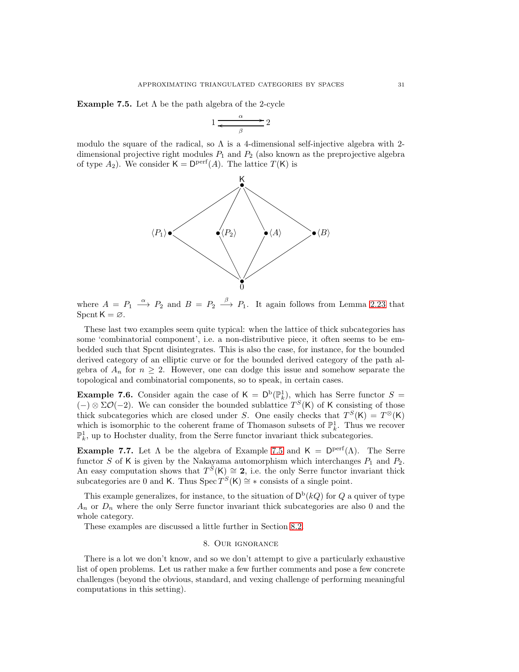<span id="page-30-1"></span>**Example 7.5.** Let  $\Lambda$  be the path algebra of the 2-cycle

$$
1 \xrightarrow{\alpha} 2
$$

modulo the square of the radical, so  $\Lambda$  is a 4-dimensional self-injective algebra with 2dimensional projective right modules  $P_1$  and  $P_2$  (also known as the preprojective algebra of type  $A_2$ ). We consider  $\mathsf{K} = \mathsf{D}^{\text{perf}}(A)$ . The lattice  $T(\mathsf{K})$  is



where  $A = P_1 \stackrel{\alpha}{\longrightarrow} P_2$  and  $B = P_2 \stackrel{\beta}{\longrightarrow} P_1$ . It again follows from Lemma [2.23](#page-7-0) that Spcnt  $K = \emptyset$ .

These last two examples seem quite typical: when the lattice of thick subcategories has some 'combinatorial component', i.e. a non-distributive piece, it often seems to be embedded such that Spcnt disintegrates. This is also the case, for instance, for the bounded derived category of an elliptic curve or for the bounded derived category of the path algebra of  $A_n$  for  $n \geq 2$ . However, one can dodge this issue and somehow separate the topological and combinatorial components, so to speak, in certain cases.

<span id="page-30-2"></span>**Example 7.6.** Consider again the case of  $K = D^b(\mathbb{P}_k^1)$ , which has Serre functor  $S =$  $(-) \otimes ΣO(-2)$ . We can consider the bounded sublattice  $T<sup>S</sup>(K)$  of K consisting of those thick subcategories which are closed under S. One easily checks that  $T<sup>S</sup>(K) = T<sup>\otimes</sup>(K)$ which is isomorphic to the coherent frame of Thomason subsets of  $\mathbb{P}_k^1$ . Thus we recover  $\mathbb{P}^1_k$ , up to Hochster duality, from the Serre functor invariant thick subcategories.

<span id="page-30-3"></span>**Example 7.7.** Let  $\Lambda$  be the algebra of Example [7.5](#page-30-1) and  $\mathsf{K} = \mathsf{D}^{\text{perf}}(\Lambda)$ . The Serre functor S of K is given by the Nakayama automorphism which interchanges  $P_1$  and  $P_2$ . An easy computation shows that  $T^{S}(\mathsf{K}) \cong 2$ , i.e. the only Serre functor invariant thick subcategories are 0 and K. Thus Spec  $T<sup>S</sup>(K) \cong *$  consists of a single point.

This example generalizes, for instance, to the situation of  $D^b(kQ)$  for Q a quiver of type  $A_n$  or  $D_n$  where the only Serre functor invariant thick subcategories are also 0 and the whole category.

<span id="page-30-0"></span>These examples are discussed a little further in Section [8.2.](#page-31-0)

## 8. Our ignorance

There is a lot we don't know, and so we don't attempt to give a particularly exhaustive list of open problems. Let us rather make a few further comments and pose a few concrete challenges (beyond the obvious, standard, and vexing challenge of performing meaningful computations in this setting).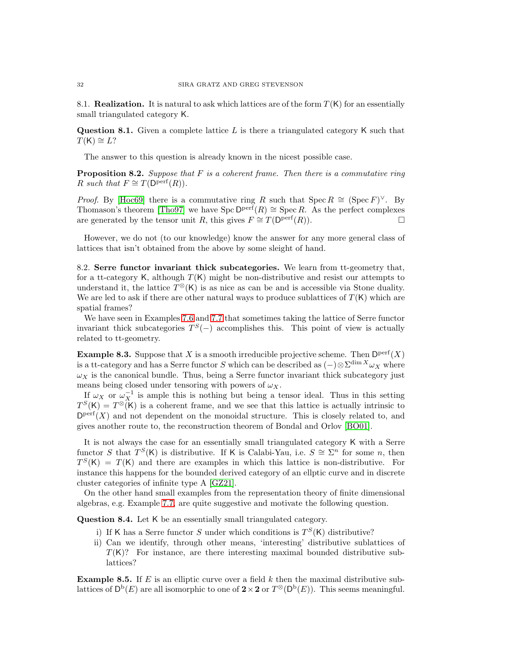8.1. **Realization.** It is natural to ask which lattices are of the form  $T(K)$  for an essentially small triangulated category K.

**Question 8.1.** Given a complete lattice  $L$  is there a triangulated category  $K$  such that  $T(K) \cong L?$ 

The answer to this question is already known in the nicest possible case.

Proposition 8.2. *Suppose that* F *is a coherent frame. Then there is a commutative ring* R *such that*  $F \cong T(\mathsf{D}^{\text{perf}}(R)).$ 

*Proof.* By [\[Hoc69\]](#page-32-11) there is a commutative ring R such that  $\text{Spec } R \cong (\text{Spec } F)^{\vee}$ . By Thomason's theorem [\[Tho97\]](#page-32-2) we have  $Spec \ D^{perf}(R) \cong Spec R$ . As the perfect complexes are generated by the tensor unit R, this gives  $F \cong T(\mathsf{D}^{\text{perf}}(R)).$ 

However, we do not (to our knowledge) know the answer for any more general class of lattices that isn't obtained from the above by some sleight of hand.

<span id="page-31-0"></span>8.2. Serre functor invariant thick subcategories. We learn from tt-geometry that, for a tt-category K, although  $T(K)$  might be non-distributive and resist our attempts to understand it, the lattice  $T^{\otimes}$ (K) is as nice as can be and is accessible via Stone duality. We are led to ask if there are other natural ways to produce sublattices of  $T(K)$  which are spatial frames?

We have seen in Examples [7.6](#page-30-2) and [7.7](#page-30-3) that sometimes taking the lattice of Serre functor invariant thick subcategories  $T^S(-)$  accomplishes this. This point of view is actually related to tt-geometry.

**Example 8.3.** Suppose that X is a smooth irreducible projective scheme. Then  $D<sup>perf</sup>(X)$ is a tt-category and has a Serre functor S which can be described as  $(-)\otimes \Sigma^{\dim X}\omega_X$  where  $\omega_X$  is the canonical bundle. Thus, being a Serre functor invariant thick subcategory just means being closed under tensoring with powers of  $\omega_X$ .

If  $\omega_X$  or  $\omega_X^{-1}$  is ample this is nothing but being a tensor ideal. Thus in this setting  $T^{S}(\mathsf{K}) = T^{\otimes}(\mathsf{K})$  is a coherent frame, and we see that this lattice is actually intrinsic to  $D<sup>perf</sup>(X)$  and not dependent on the monoidal structure. This is closely related to, and gives another route to, the reconstruction theorem of Bondal and Orlov [\[BO01\]](#page-32-24).

It is not always the case for an essentially small triangulated category K with a Serre functor S that  $T^{S}(\mathsf{K})$  is distributive. If K is Calabi-Yau, i.e.  $S \cong \Sigma^{n}$  for some n, then  $T^{S}(\mathsf{K}) = T(\mathsf{K})$  and there are examples in which this lattice is non-distributive. For instance this happens for the bounded derived category of an ellptic curve and in discrete cluster categories of infinite type A [\[GZ21\]](#page-32-8).

On the other hand small examples from the representation theory of finite dimensional algebras, e.g. Example [7.7,](#page-30-3) are quite suggestive and motivate the following question.

Question 8.4. Let K be an essentially small triangulated category.

- i) If K has a Serre functor S under which conditions is  $T<sup>S</sup>(K)$  distributive?
- ii) Can we identify, through other means, 'interesting' distributive sublattices of  $T(K)$ ? For instance, are there interesting maximal bounded distributive sublattices?

**Example 8.5.** If E is an elliptic curve over a field k then the maximal distributive sublattices of  $D^b(E)$  are all isomorphic to one of  $2 \times 2$  or  $T^{\otimes}(\mathsf{D}^b(E))$ . This seems meaningful.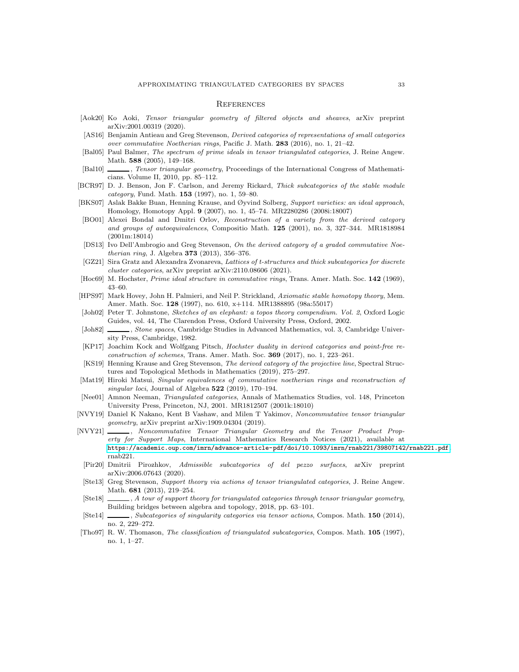#### <span id="page-32-0"></span>**REFERENCES**

- <span id="page-32-20"></span>[Aok20] Ko Aoki, Tensor triangular geometry of filtered objects and sheaves, arXiv preprint arXiv:2001.00319 (2020).
- <span id="page-32-7"></span>[AS16] Benjamin Antieau and Greg Stevenson, Derived categories of representations of small categories over commutative Noetherian rings, Pacific J. Math. 283 (2016), no. 1, 21–42.
- <span id="page-32-4"></span>[Bal05] Paul Balmer, The spectrum of prime ideals in tensor triangulated categories, J. Reine Angew. Math. 588 (2005), 149–168.
- <span id="page-32-13"></span>[Bal10]  $\_\_\_\_\$  Tensor triangular geometry, Proceedings of the International Congress of Mathematicians. Volume II, 2010, pp. 85–112.
- <span id="page-32-3"></span>[BCR97] D. J. Benson, Jon F. Carlson, and Jeremy Rickard, Thick subcategories of the stable module category, Fund. Math. 153 (1997), no. 1, 59–80.
- <span id="page-32-16"></span>[BKS07] Aslak Bakke Buan, Henning Krause, and Øyvind Solberg, Support varieties: an ideal approach, Homology, Homotopy Appl. 9 (2007), no. 1, 45–74. MR2280286 (2008i:18007)
- <span id="page-32-24"></span>[BO01] Alexei Bondal and Dmitri Orlov, Reconstruction of a variety from the derived category and groups of autoequivalences, Compositio Math. 125 (2001), no. 3, 327–344. MR1818984 (2001m:18014)
- <span id="page-32-19"></span>[DS13] Ivo Dell'Ambrogio and Greg Stevenson, On the derived category of a graded commutative Noetherian ring, J. Algebra 373 (2013), 356–376.
- <span id="page-32-8"></span>[GZ21] Sira Gratz and Alexandra Zvonareva, Lattices of t-structures and thick subcategories for discrete cluster categories, arXiv preprint arXiv:2110.08606 (2021).
- <span id="page-32-11"></span>[Hoc69] M. Hochster, *Prime ideal structure in commutative rings*, Trans. Amer. Math. Soc. **142** (1969), 43–60.
- <span id="page-32-17"></span>[HPS97] Mark Hovey, John H. Palmieri, and Neil P. Strickland, Axiomatic stable homotopy theory, Mem. Amer. Math. Soc. 128 (1997), no. 610, x+114. MR1388895 (98a:55017)
- <span id="page-32-9"></span>[Joh02] Peter T. Johnstone, Sketches of an elephant: a topos theory compendium. Vol. 2, Oxford Logic Guides, vol. 44, The Clarendon Press, Oxford University Press, Oxford, 2002.
- <span id="page-32-10"></span>[Joh82] , Stone spaces, Cambridge Studies in Advanced Mathematics, vol. 3, Cambridge University Press, Cambridge, 1982.
- <span id="page-32-15"></span>[KP17] Joachim Kock and Wolfgang Pitsch, Hochster duality in derived categories and point-free reconstruction of schemes, Trans. Amer. Math. Soc. 369 (2017), no. 1, 223–261.
- <span id="page-32-21"></span>[KS19] Henning Krause and Greg Stevenson, The derived category of the projective line, Spectral Structures and Topological Methods in Mathematics (2019), 275–297.
- <span id="page-32-6"></span>[Mat19] Hiroki Matsui, Singular equivalences of commutative noetherian rings and reconstruction of singular loci, Journal of Algebra  $522$  (2019), 170-194.
- <span id="page-32-18"></span>[Nee01] Amnon Neeman, Triangulated categories, Annals of Mathematics Studies, vol. 148, Princeton University Press, Princeton, NJ, 2001. MR1812507 (2001k:18010)
- <span id="page-32-5"></span>[NVY19] Daniel K Nakano, Kent B Vashaw, and Milen T Yakimov, Noncommutative tensor triangular geometry, arXiv preprint arXiv:1909.04304 (2019).
- <span id="page-32-22"></span><span id="page-32-1"></span>[NVY21] \_\_\_\_\_\_, Noncommutative Tensor Triangular Geometry and the Tensor Product Property for Support Maps, International Mathematics Research Notices (2021), available at <https://academic.oup.com/imrn/advance-article-pdf/doi/10.1093/imrn/rnab221/39807142/rnab221.pdf>. rnab221.
	- [Pir20] Dmitrii Pirozhkov, Admissible subcategories of del pezzo surfaces, arXiv preprint arXiv:2006.07643 (2020).
	- [Ste13] Greg Stevenson, Support theory via actions of tensor triangulated categories, J. Reine Angew. Math. 681 (2013), 219–254.
- <span id="page-32-14"></span><span id="page-32-12"></span>[Ste18]  $\_\_\_\_\$ , A tour of support theory for triangulated categories through tensor triangular geometry, Building bridges between algebra and topology, 2018, pp. 63–101.
- <span id="page-32-23"></span>[Ste14] , Subcategories of singularity categories via tensor actions, Compos. Math. 150 (2014), no. 2, 229–272.
- <span id="page-32-2"></span>[Tho97] R. W. Thomason, The classification of triangulated subcategories, Compos. Math. 105 (1997), no. 1, 1–27.